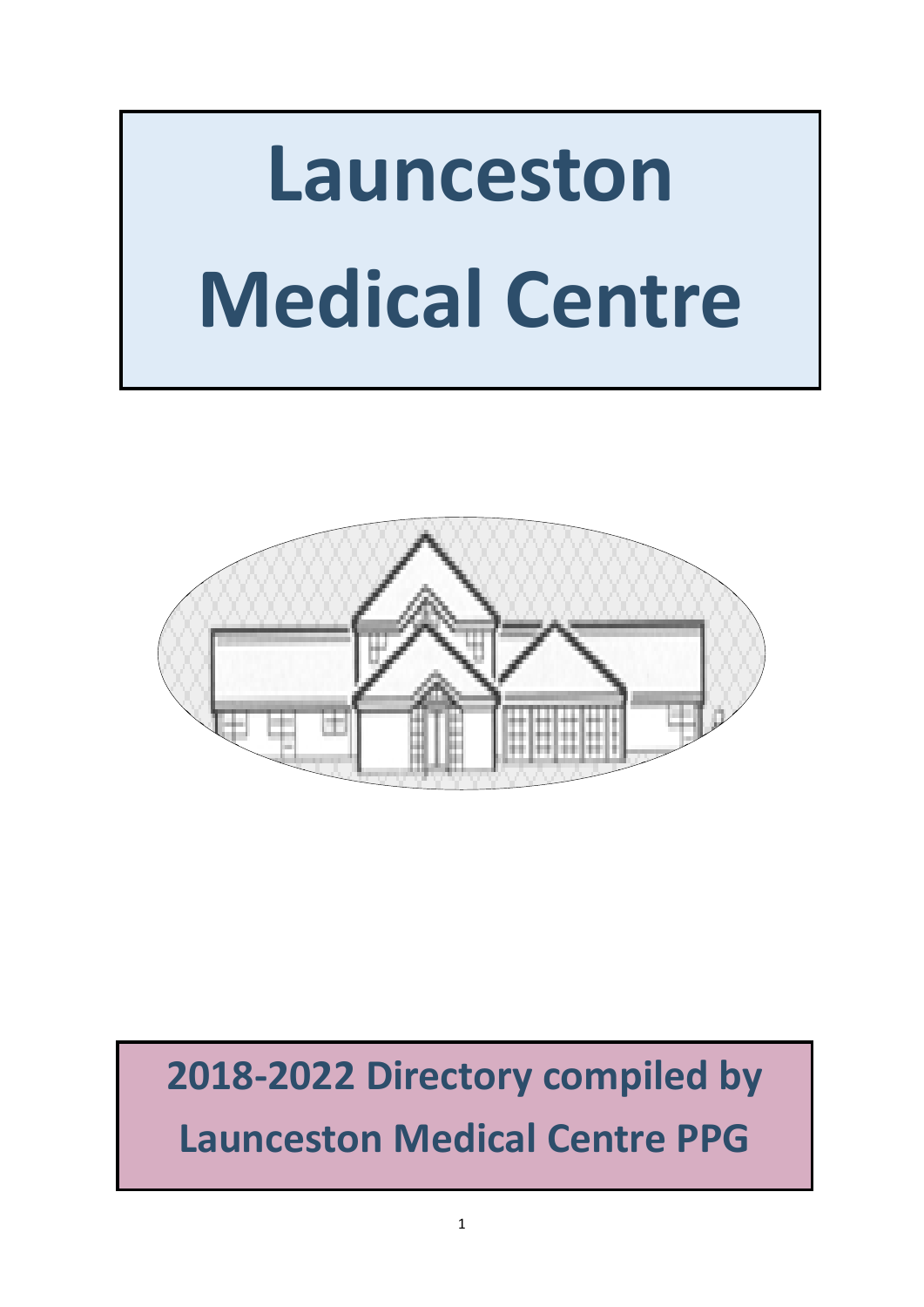



# **2018-2022 Directory compiled by Launceston Medical Centre PPG**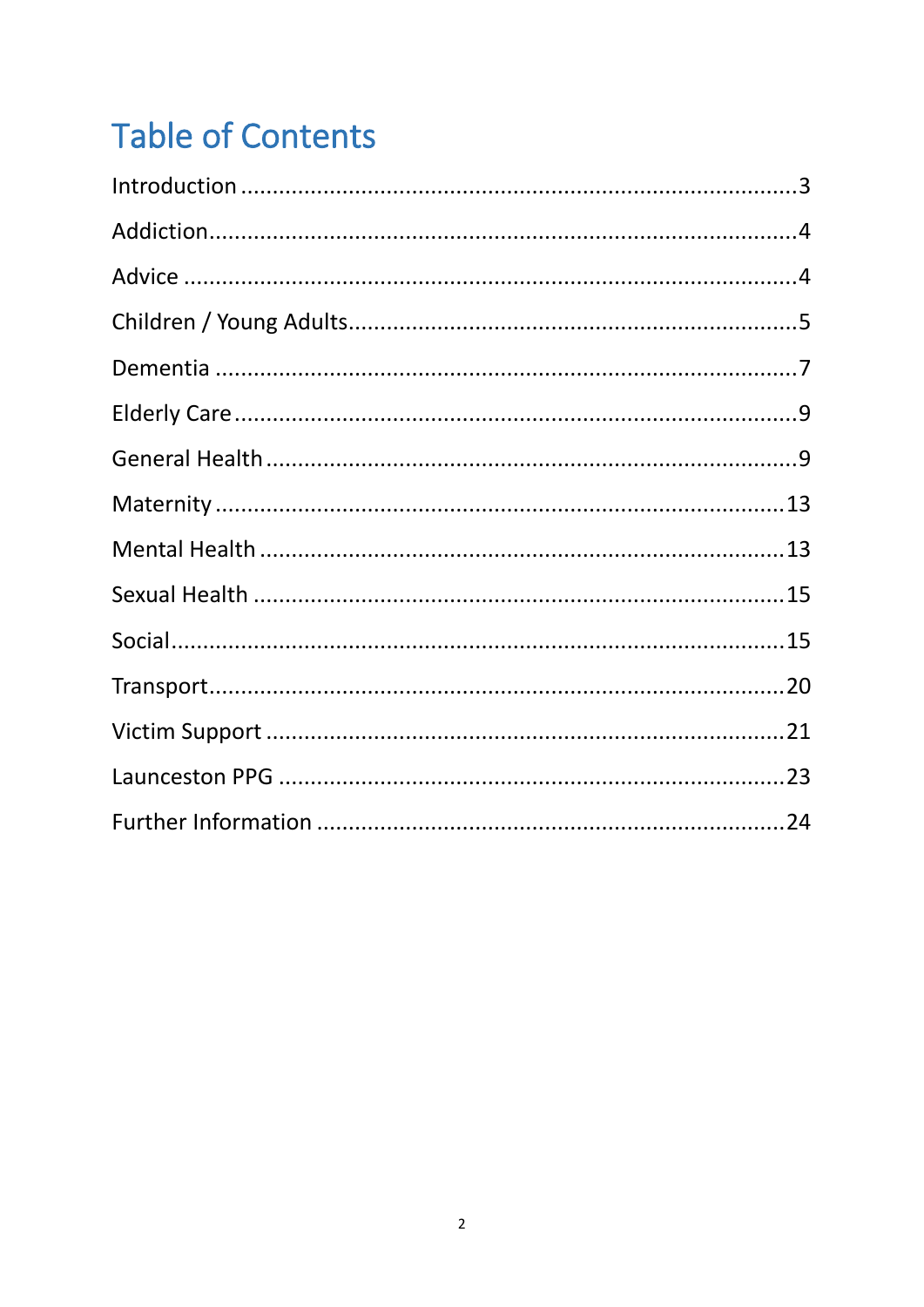# **Table of Contents**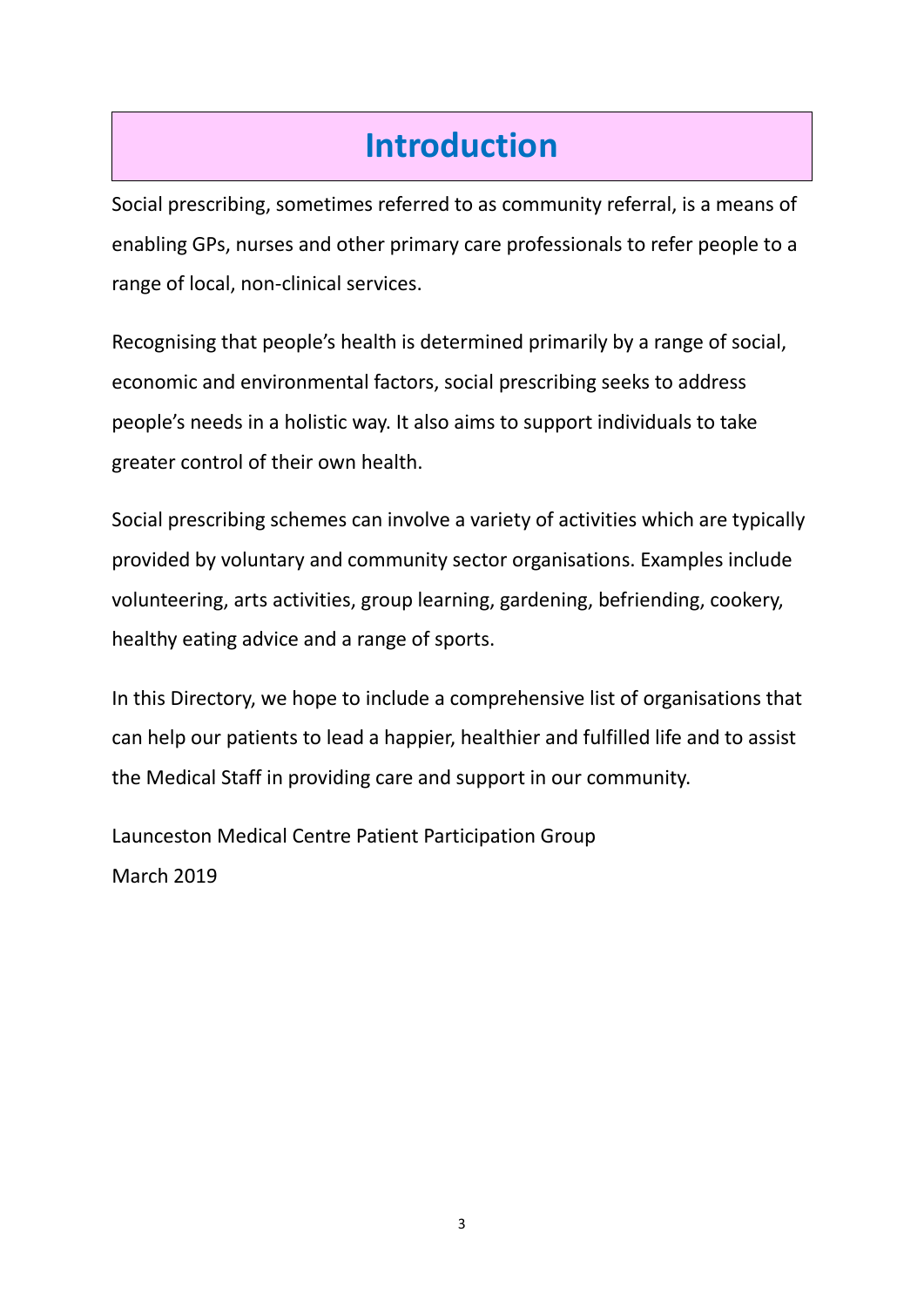# **Introduction**

<span id="page-2-0"></span>Social prescribing, sometimes referred to as community referral, is a means of enabling GPs, nurses and other primary care professionals to refer people to a range of local, non-clinical services.

Recognising that people's health is determined primarily by a range of social, economic and environmental factors, social prescribing seeks to address people's needs in a holistic way. It also aims to support individuals to take greater control of their own health.

Social prescribing schemes can involve a variety of activities which are typically provided by voluntary and community sector organisations. Examples include volunteering, arts activities, group learning, gardening, befriending, cookery, healthy eating advice and a range of sports.

In this Directory, we hope to include a comprehensive list of organisations that can help our patients to lead a happier, healthier and fulfilled life and to assist the Medical Staff in providing care and support in our community.

Launceston Medical Centre Patient Participation Group March 2019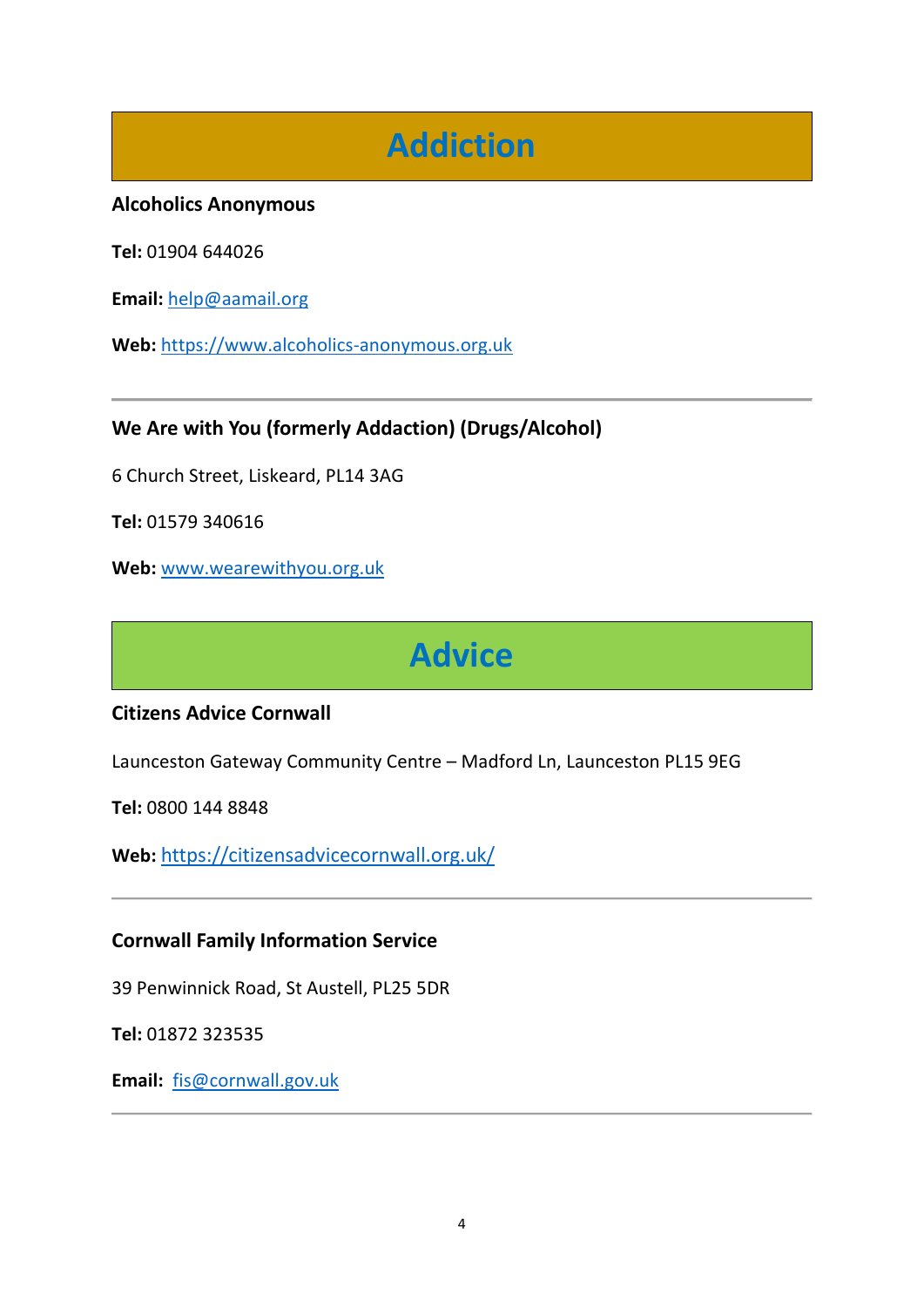# **Addiction**

### <span id="page-3-0"></span>**Alcoholics Anonymous**

**Tel:** 01904 644026

**Email:** [help@aamail.org](mailto:help@aamail.org)

**Web:** [https://www.alcoholics-anonymous.org.uk](https://www.alcoholics-anonymous.org.uk/)

# **We Are with You (formerly Addaction) (Drugs/Alcohol)**

6 Church Street, Liskeard, PL14 3AG

**Tel:** 01579 340616

<span id="page-3-1"></span>**Web:** [www.wearewithyou.org.uk](http://www.wearewithyou.org.uk/)

# **Advice**

### **Citizens Advice Cornwall**

Launceston Gateway Community Centre – Madford Ln, Launceston PL15 9EG

**Tel:** 0800 144 8848

**Web:** <https://citizensadvicecornwall.org.uk/>

### **Cornwall Family Information Service**

39 Penwinnick Road, St Austell, PL25 5DR

**Tel:** 01872 323535

**Email:** [fis@cornwall.gov.uk](mailto:info@cornwallrcc.org.uk)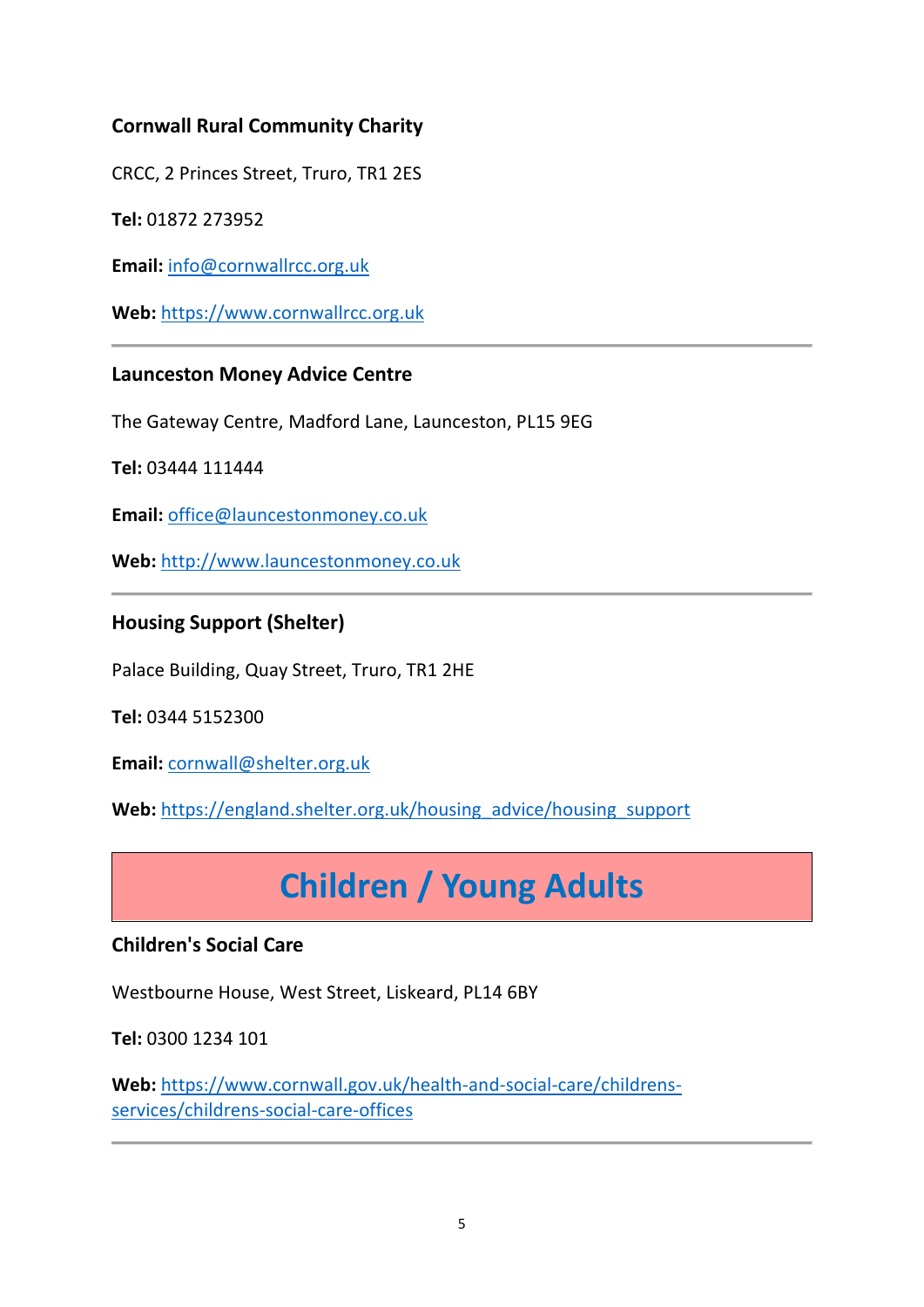# **Cornwall Rural Community Charity**

CRCC, 2 Princes Street, Truro, TR1 2ES

**Tel:** 01872 273952

**Email:** [info@cornwallrcc.org.uk](mailto:info@cornwallrcc.org.uk)

**Web:** [https://www.cornwallrcc.org.uk](https://www.cornwallrcc.org.uk/)

### **Launceston Money Advice Centre**

The Gateway Centre, Madford Lane, Launceston, PL15 9EG

**Tel:** 03444 111444

**Email:** [office@launcestonmoney.co.uk](mailto:office@launcestonmoney.co.uk) 

**Web:** [http://www.launcestonmoney.co.uk](http://www.launcestonmoney.co.uk/)

### **Housing Support (Shelter)**

Palace Building, Quay Street, Truro, TR1 2HE

**Tel:** 0344 5152300

**Email:** [cornwall@shelter.org.uk](mailto:cornwall@shelter.org.uk)

<span id="page-4-0"></span>Web: [https://england.shelter.org.uk/housing\\_advice/housing\\_support](https://england.shelter.org.uk/housing_advice/housing_support)

# **Children / Young Adults**

### **Children's Social Care**

Westbourne House, West Street, Liskeard, PL14 6BY

**Tel:** 0300 1234 101

**Web:** [https://www.cornwall.gov.uk/health-and-social-care/childrens](https://www.cornwall.gov.uk/health-and-social-care/childrens-services/childrens-social-care-offices)[services/childrens-social-care-offices](https://www.cornwall.gov.uk/health-and-social-care/childrens-services/childrens-social-care-offices)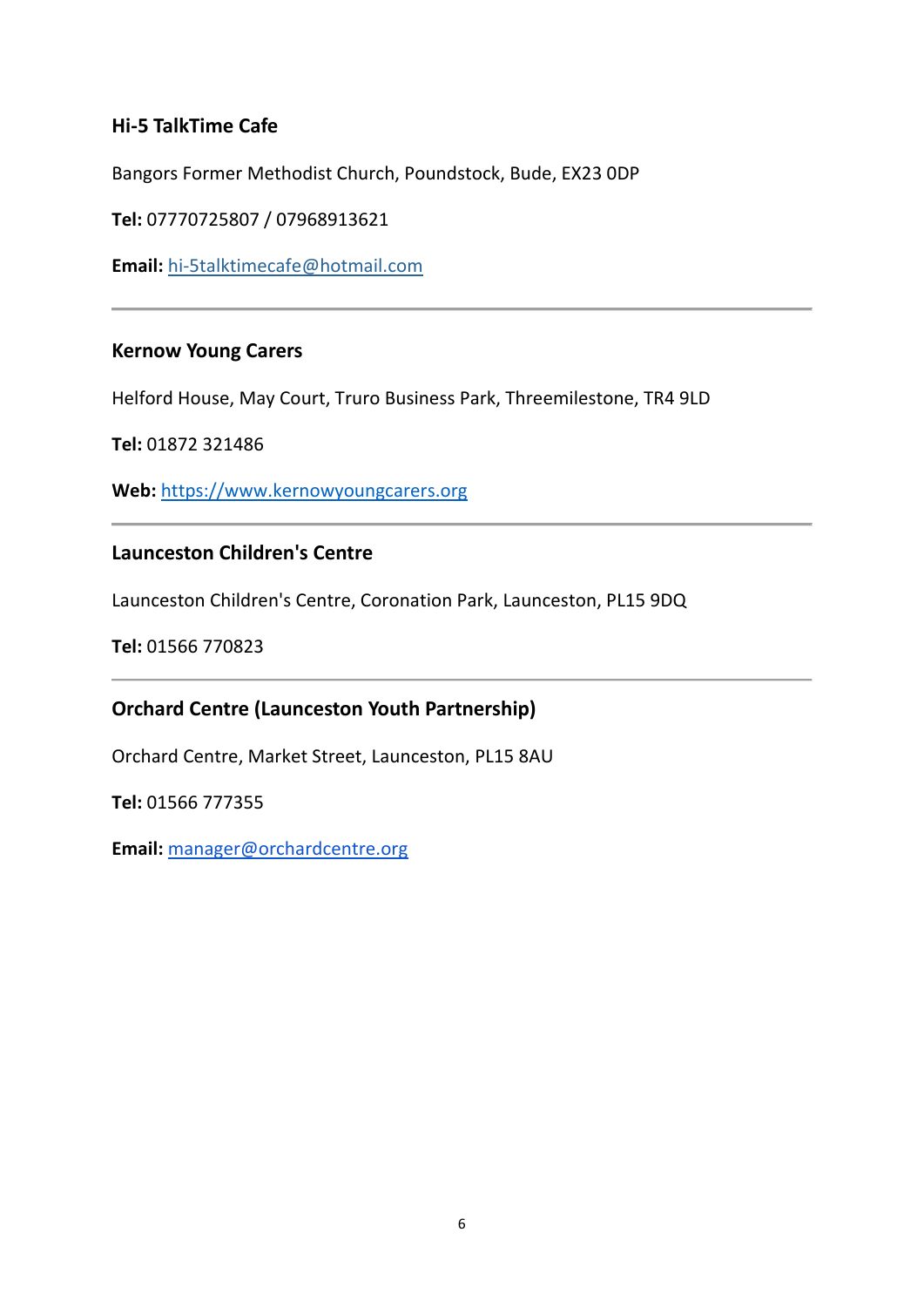# **Hi-5 TalkTime Cafe**

Bangors Former Methodist Church, Poundstock, Bude, EX23 0DP

**Tel:** 07770725807 / 07968913621

**Email:** [hi-5talktimecafe@hotmail.com](mailto:hi-5talktimecafe@hotmail.com)

#### **Kernow Young Carers**

Helford House, May Court, Truro Business Park, Threemilestone, TR4 9LD

**Tel:** 01872 321486

**Web:** [https://www.kernowyoungcarers.org](https://www.kernowyoungcarers.org/)

#### **Launceston Children's Centre**

Launceston Children's Centre, Coronation Park, Launceston, PL15 9DQ

**Tel:** 01566 770823

### **Orchard Centre (Launceston Youth Partnership)**

Orchard Centre, Market Street, Launceston, PL15 8AU

**Tel:** 01566 777355

**Email:** [manager@orchardcentre.org](mailto:manager@orchardcentre.org)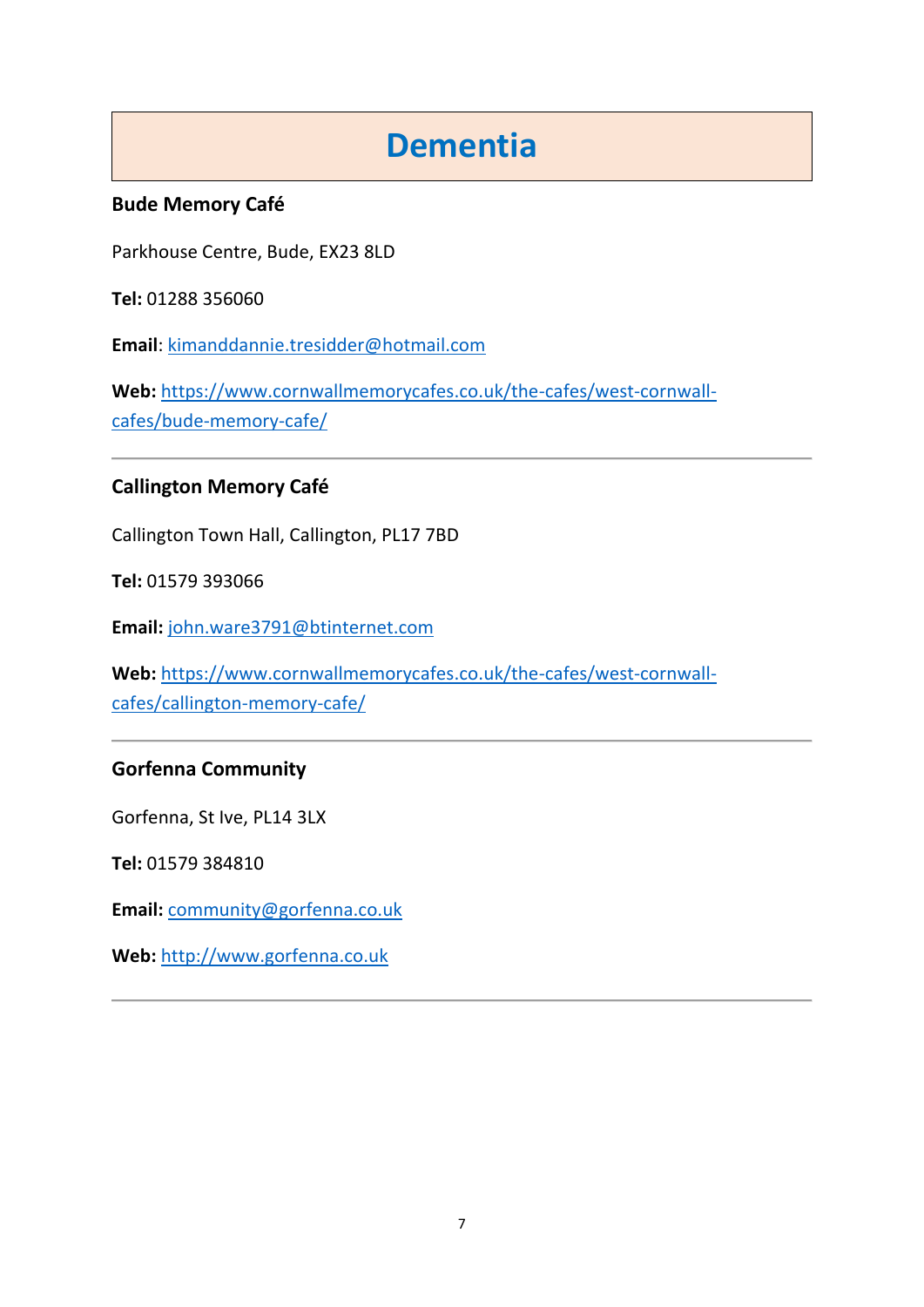# **Dementia**

# <span id="page-6-0"></span>**Bude Memory Café**

Parkhouse Centre, Bude, EX23 8LD

**Tel:** 01288 356060

**Email**: [kimanddannie.tresidder@hotmail.com](mailto:kimanddannie.tresidder@hotmail.com)

Web: [https://www.cornwallmemorycafes.co.uk/the-cafes/west-cornwall](https://www.cornwallmemorycafes.co.uk/the-cafes/west-cornwall-cafes/bude-memory-cafe/)[cafes/bude-memory-cafe/](https://www.cornwallmemorycafes.co.uk/the-cafes/west-cornwall-cafes/bude-memory-cafe/)

# **Callington Memory Café**

Callington Town Hall, Callington, PL17 7BD

**Tel:** 01579 393066

**Email:** [john.ware3791@btinternet.com](mailto:john.ware3791@btinternet.com)

**Web:** [https://www.cornwallmemorycafes.co.uk/the-cafes/west-cornwall](https://www.cornwallmemorycafes.co.uk/the-cafes/west-cornwall-cafes/callington-memory-cafe/)[cafes/callington-memory-cafe/](https://www.cornwallmemorycafes.co.uk/the-cafes/west-cornwall-cafes/callington-memory-cafe/)

### **Gorfenna Community**

Gorfenna, St Ive, PL14 3LX

**Tel:** 01579 384810

**Email:** [community@gorfenna.co.uk](mailto:community@gorfenna.co.uk)

**Web:** [http://www.gorfenna.co.uk](http://www.gorfenna.co.uk/)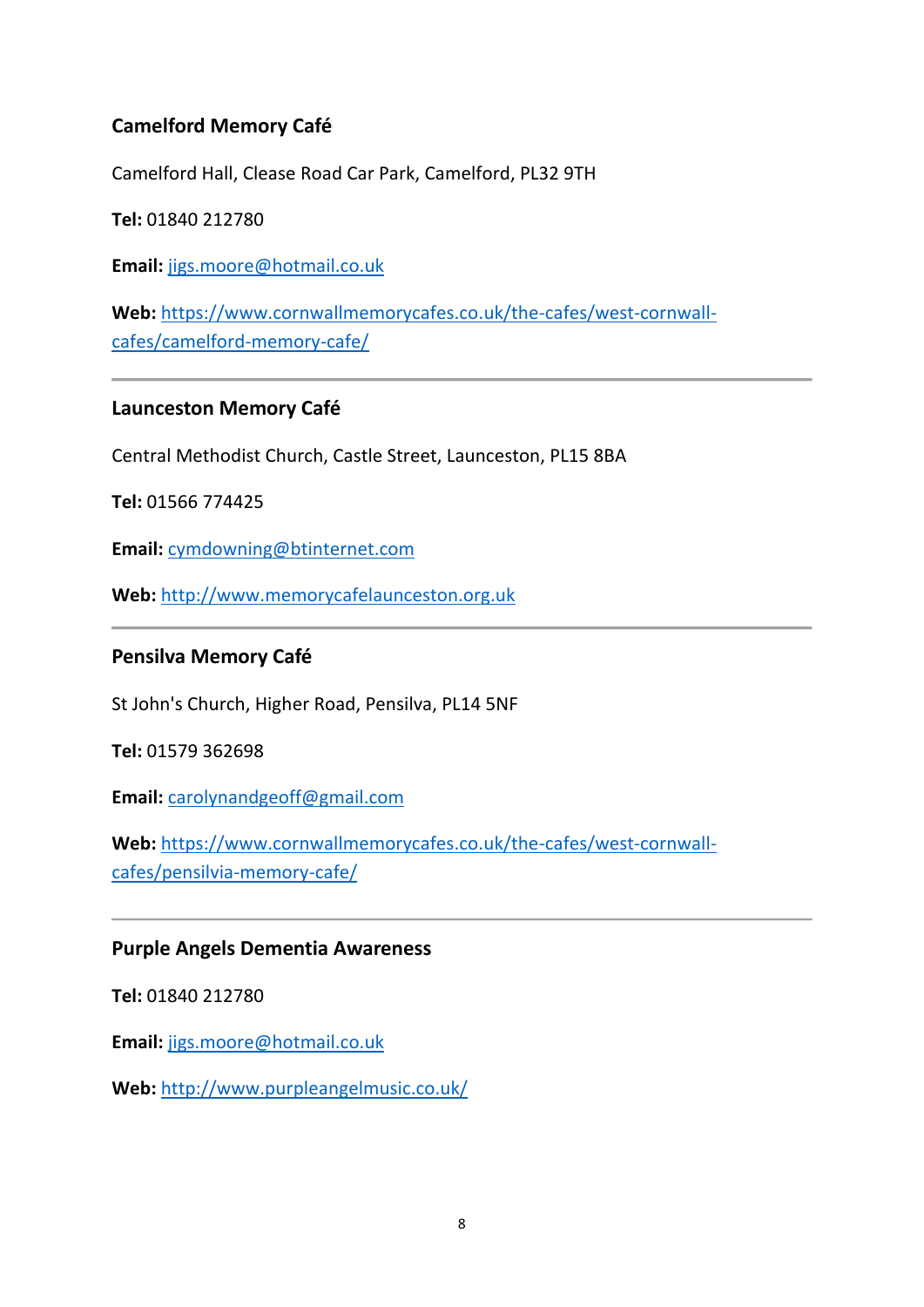# **Camelford Memory Café**

Camelford Hall, Clease Road Car Park, Camelford, PL32 9TH

**Tel:** 01840 212780

**Email:** [jigs.moore@hotmail.co.uk](mailto:jigs.moore@hotmail.co.uk)

**Web:** [https://www.cornwallmemorycafes.co.uk/the-cafes/west-cornwall](https://www.cornwallmemorycafes.co.uk/the-cafes/west-cornwall-cafes/camelford-memory-cafe/)[cafes/camelford-memory-cafe/](https://www.cornwallmemorycafes.co.uk/the-cafes/west-cornwall-cafes/camelford-memory-cafe/)

### **Launceston Memory Café**

Central Methodist Church, Castle Street, Launceston, PL15 8BA

**Tel:** 01566 774425

**Email:** [cymdowning@btinternet.com](mailto:cymdowning@btinternet.com)

**Web:** [http://www.memorycafelaunceston.org.uk](http://www.memorycafelaunceston.org.uk/)

### **Pensilva Memory Café**

St John's Church, Higher Road, Pensilva, PL14 5NF

**Tel:** 01579 362698

**Email:** [carolynandgeoff@gmail.com](mailto:carolynandgeoff@gmail.com)

**Web:** [https://www.cornwallmemorycafes.co.uk/the-cafes/west-cornwall](https://www.cornwallmemorycafes.co.uk/the-cafes/west-cornwall-cafes/pensilvia-memory-cafe/)[cafes/pensilvia-memory-cafe/](https://www.cornwallmemorycafes.co.uk/the-cafes/west-cornwall-cafes/pensilvia-memory-cafe/)

### **Purple Angels Dementia Awareness**

**Tel:** 01840 212780

**Email:** [jigs.moore@hotmail.co.uk](mailto:jigs.moore@hotmail.co.uk)

**Web:** <http://www.purpleangelmusic.co.uk/>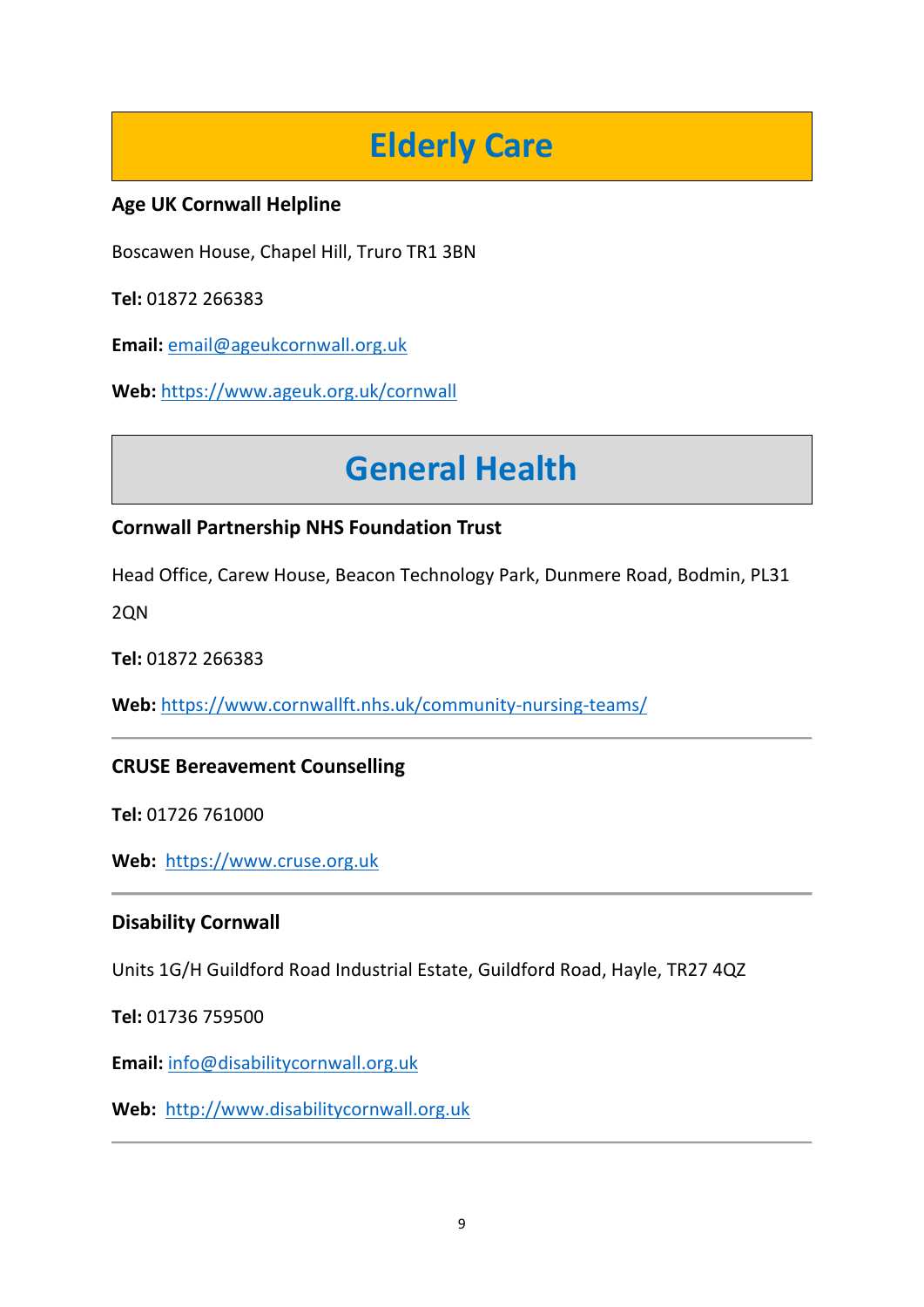# **Elderly Care**

# <span id="page-8-0"></span>**Age UK Cornwall Helpline**

Boscawen House, Chapel Hill, Truro TR1 3BN

**Tel:** 01872 266383

**Email:** [email@ageukcornwall.org.uk](mailto:email@ageukcornwall.org.uk)

<span id="page-8-1"></span>**Web:** <https://www.ageuk.org.uk/cornwall>

# **General Health**

# **Cornwall Partnership NHS Foundation Trust**

Head Office, Carew House, Beacon Technology Park, Dunmere Road, Bodmin, PL31

2QN

**Tel:** 01872 266383

**Web:** <https://www.cornwallft.nhs.uk/community-nursing-teams/>

# **CRUSE Bereavement Counselling**

**Tel:** 01726 761000

**Web:** [https://www.cruse.org.uk](https://www.cruse.org.uk/)

# **Disability Cornwall**

Units 1G/H Guildford Road Industrial Estate, Guildford Road, Hayle, TR27 4QZ

**Tel:** 01736 759500

**Email:** [info@disabilitycornwall.org.uk](mailto:info@disabilitycornwall.org.uk)

**Web:** [http://www.disabilitycornwall.org.uk](http://www.disabilitycornwall.org.uk/)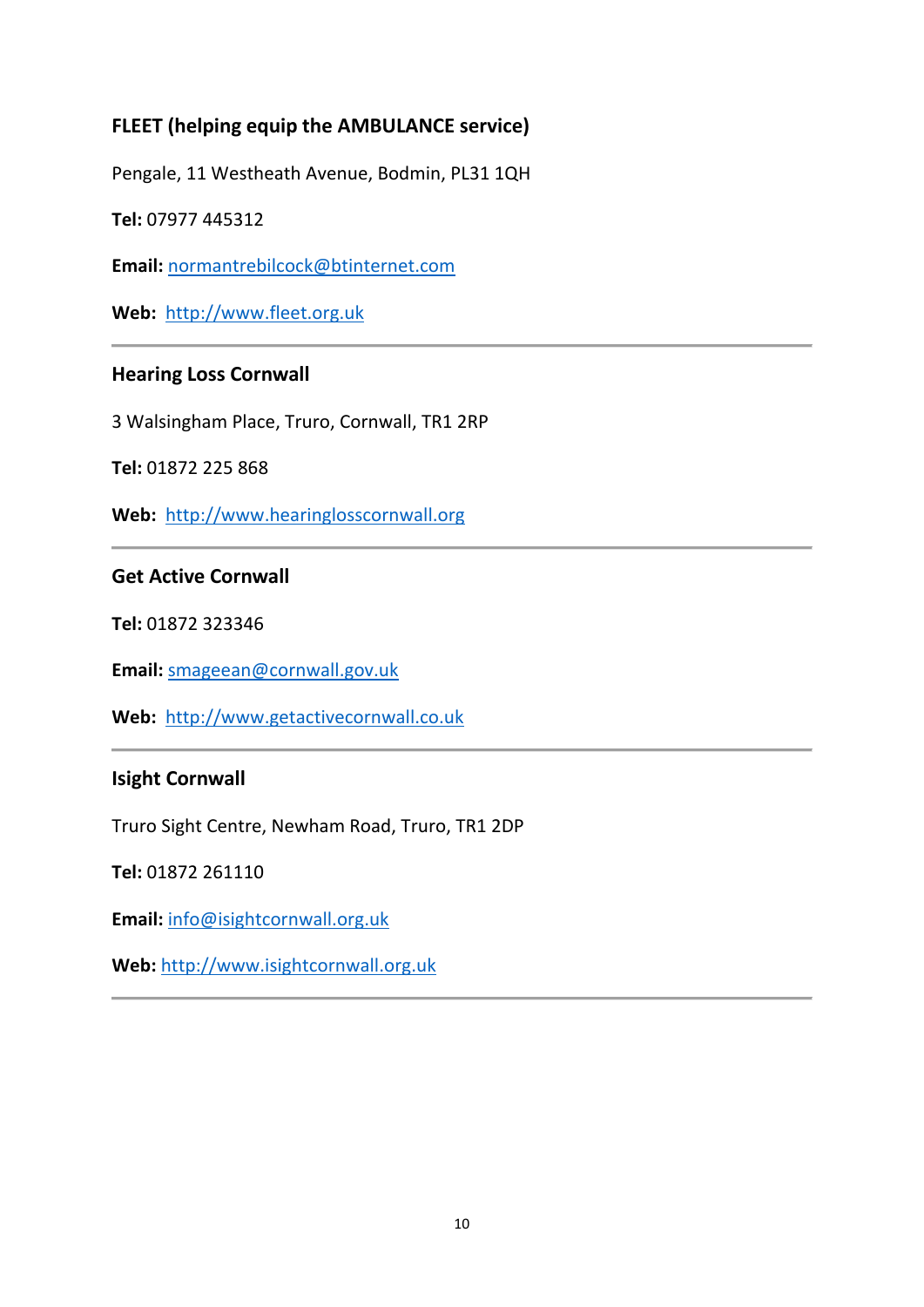# **FLEET (helping equip the AMBULANCE service)**

Pengale, 11 Westheath Avenue, Bodmin, PL31 1QH

**Tel:** 07977 445312

**Email:** [normantrebilcock@btinternet.com](mailto:normantrebilcock@btinternet.com)

**Web:** [http://www.fleet.org.uk](http://www.fleet.org.uk/)

# **Hearing Loss Cornwall**

3 Walsingham Place, Truro, Cornwall, TR1 2RP

**Tel:** 01872 225 868

**Web:** [http://www.hearinglosscornwall.org](http://www.hearinglosscornwall.org/)

### **Get Active Cornwall**

**Tel:** 01872 323346

**Email:** [smageean@cornwall.gov.uk](mailto:smageean@cornwall.gov.uk)

**Web:** [http://www.getactivecornwall.co.uk](http://www.getactivecornwall.co.uk/)

#### **Isight Cornwall**

Truro Sight Centre, Newham Road, Truro, TR1 2DP

**Tel:** 01872 261110

**Email:** [info@isightcornwall.org.uk](mailto:info@isightcornwall.org.uk)

**Web:** [http://www.isightcornwall.org.uk](http://www.isightcornwall.org.uk/)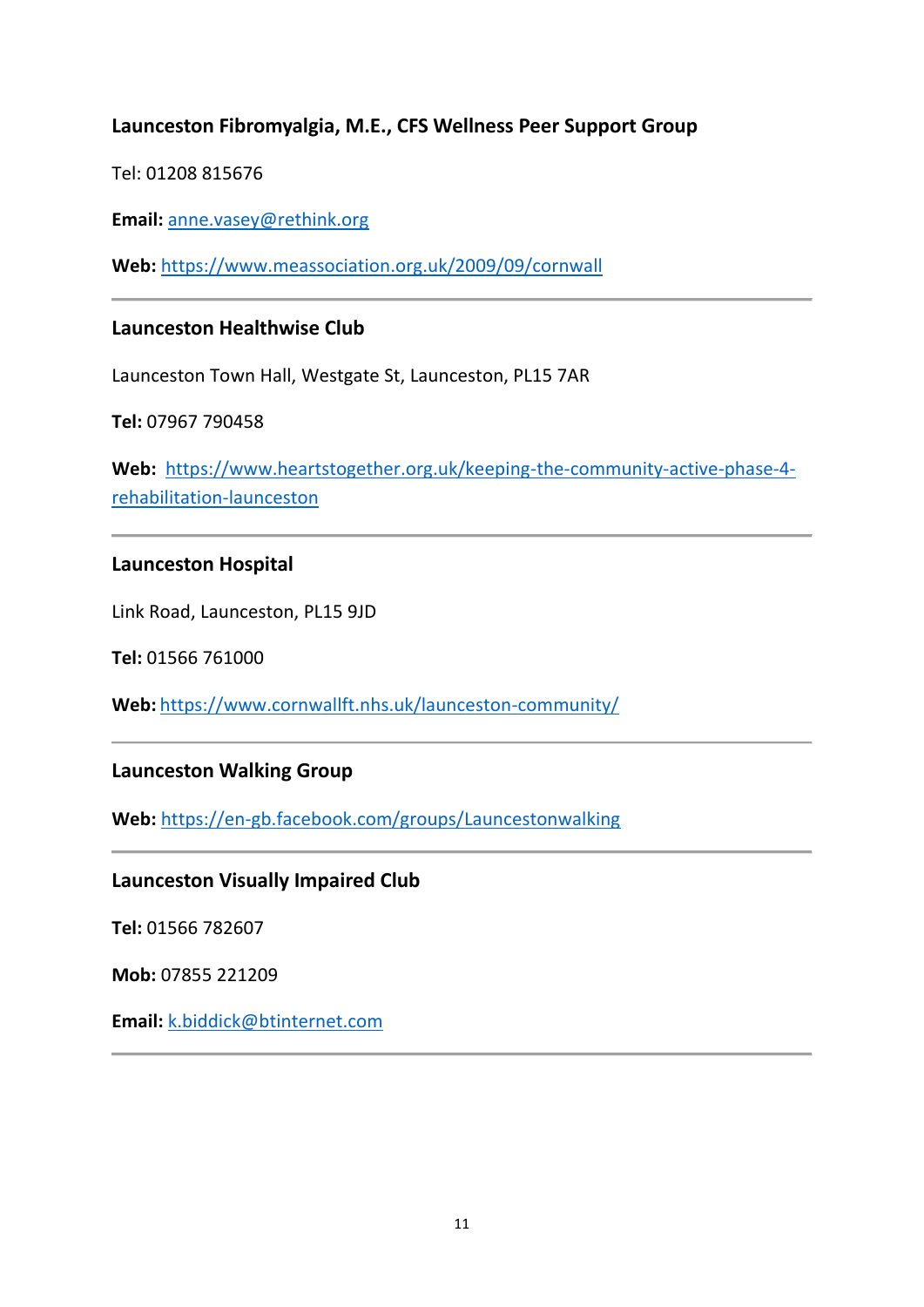# **Launceston Fibromyalgia, M.E., CFS Wellness Peer Support Group**

Tel: 01208 815676

**Email:** [anne.vasey@rethink.org](mailto:anne.vasey@rethink.org)

**Web:** <https://www.meassociation.org.uk/2009/09/cornwall>

#### **Launceston Healthwise Club**

Launceston Town Hall, Westgate St, Launceston, PL15 7AR

**Tel:** 07967 790458

**Web:** [https://www.heartstogether.org.uk/keeping-the-community-active-phase-4](https://www.heartstogether.org.uk/keeping-the-community-active-phase-4-rehabilitation-launceston) [rehabilitation-launceston](https://www.heartstogether.org.uk/keeping-the-community-active-phase-4-rehabilitation-launceston)

### **Launceston Hospital**

Link Road, Launceston, PL15 9JD

**Tel:** 01566 761000

**Web:** <https://www.cornwallft.nhs.uk/launceston-community/>

#### **Launceston Walking Group**

**Web:** <https://en-gb.facebook.com/groups/Launcestonwalking>

#### **Launceston Visually Impaired Club**

**Tel:** 01566 782607

**Mob:** 07855 221209

**Email:** [k.biddick@btinternet.com](mailto:%20k.biddick@btinternet.com)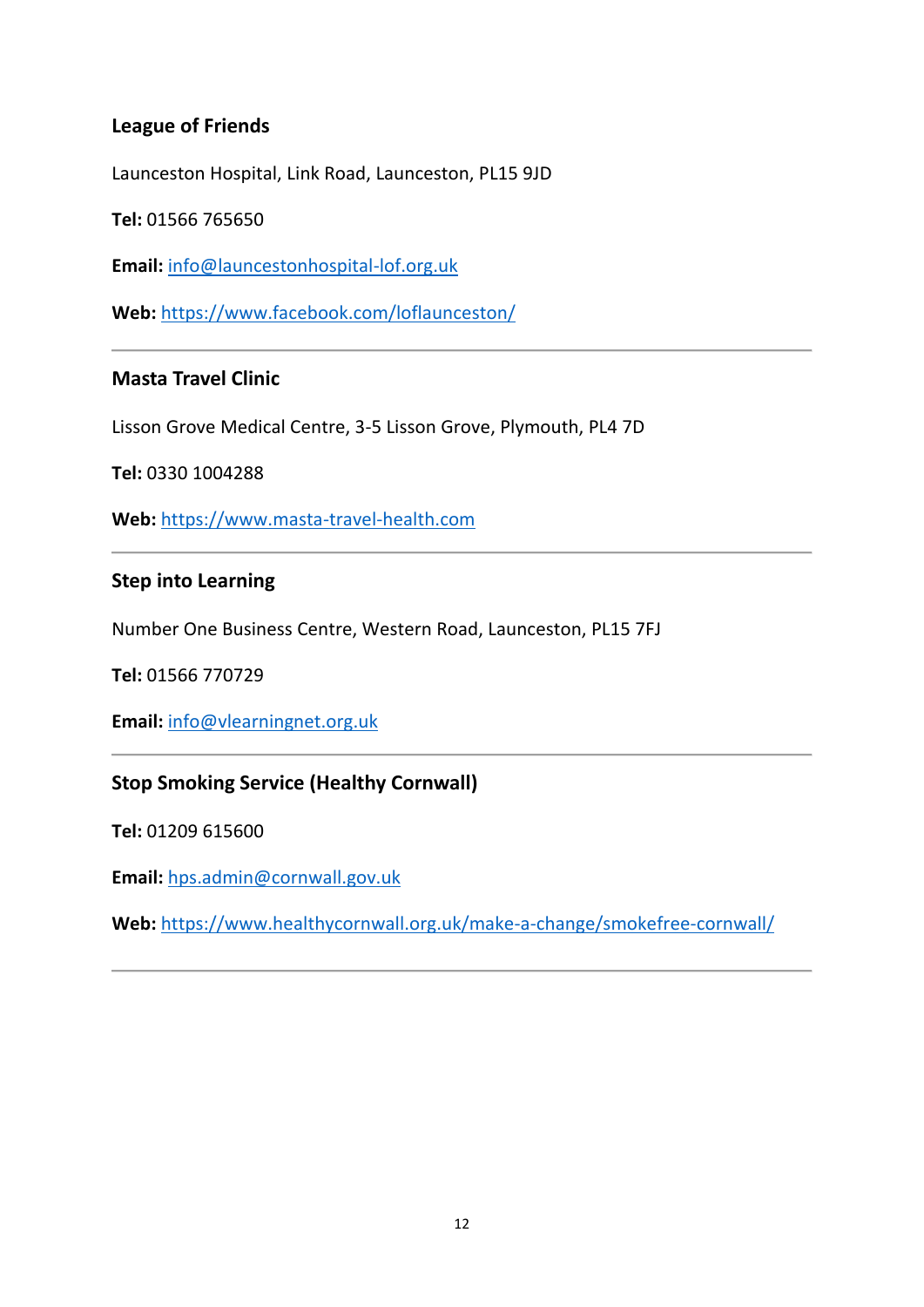# **League of Friends**

Launceston Hospital, Link Road, Launceston, PL15 9JD

**Tel:** 01566 765650

**Email:** [info@launcestonhospital-lof.org.uk](mailto:info@launcestonhospital-lof.org.uk)

**Web:** <https://www.facebook.com/loflaunceston/>

### **Masta Travel Clinic**

Lisson Grove Medical Centre, 3-5 Lisson Grove, Plymouth, PL4 7D

**Tel:** 0330 1004288

**Web:** [https://www.masta-travel-health.com](https://www.masta-travel-health.com/)

#### **Step into Learning**

Number One Business Centre, Western Road, Launceston, PL15 7FJ

**Tel:** 01566 770729

**Email:** [info@vlearningnet.org.uk](mailto:info@vlearningnet.org.uk)

### **Stop Smoking Service (Healthy Cornwall)**

**Tel:** 01209 615600

**Email:** [hps.admin@cornwall.gov.uk](mailto:hps.admin@cornwall.gov.uk)

**Web:** <https://www.healthycornwall.org.uk/make-a-change/smokefree-cornwall/>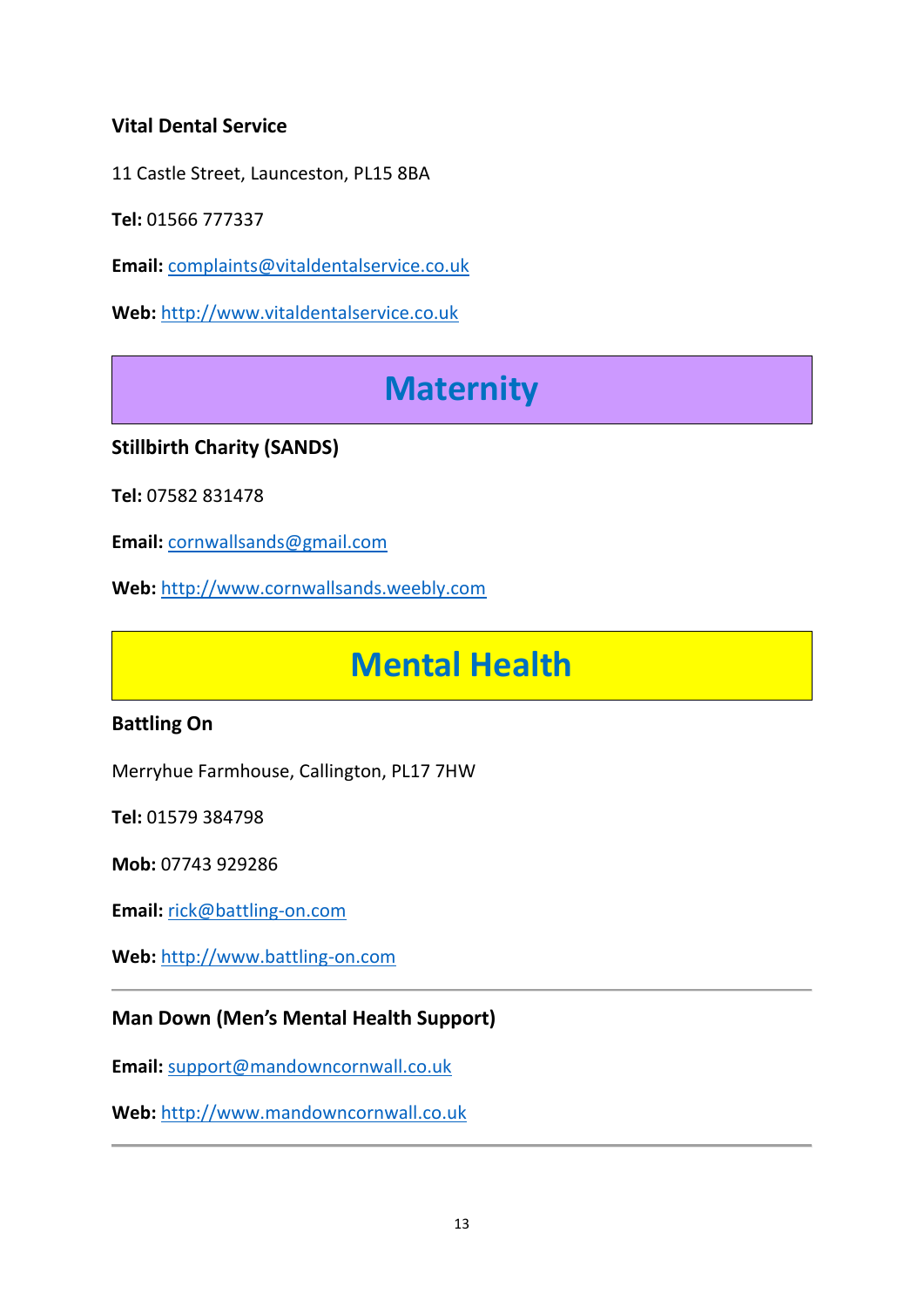# **Vital Dental Service**

11 Castle Street, Launceston, PL15 8BA

**Tel:** 01566 777337

**Email:** [complaints@vitaldentalservice.co.uk](mailto:complaints@vitaldentalservice.co.uk)

<span id="page-12-0"></span>**Web:** [http://www.vitaldentalservice.co.uk](http://www.vitaldentalservice.co.uk/)

# **Maternity**

# **Stillbirth Charity (SANDS)**

**Tel:** 07582 831478

**Email:** [cornwallsands@gmail.com](mailto:cornwallsands@gmail.com)

<span id="page-12-1"></span>**Web:** [http://www.cornwallsands.weebly.com](http://www.cornwallsands.weebly.com/)

# **Mental Health**

# **Battling On**

Merryhue Farmhouse, Callington, PL17 7HW

**Tel:** 01579 384798

**Mob:** 07743 929286

**Email:** [rick@battling-on.com](mailto:rick@battling-on.com)

**Web:** [http://www.battling-on.com](http://www.battling-on.com/)

### **Man Down (Men's Mental Health Support)**

**Email:** [support@mandowncornwall.co.uk](mailto:support@mandowncornwall.co.uk)

**Web:** [http://www.mandowncornwall.co.uk](http://www.mandowncornwall.co.uk/)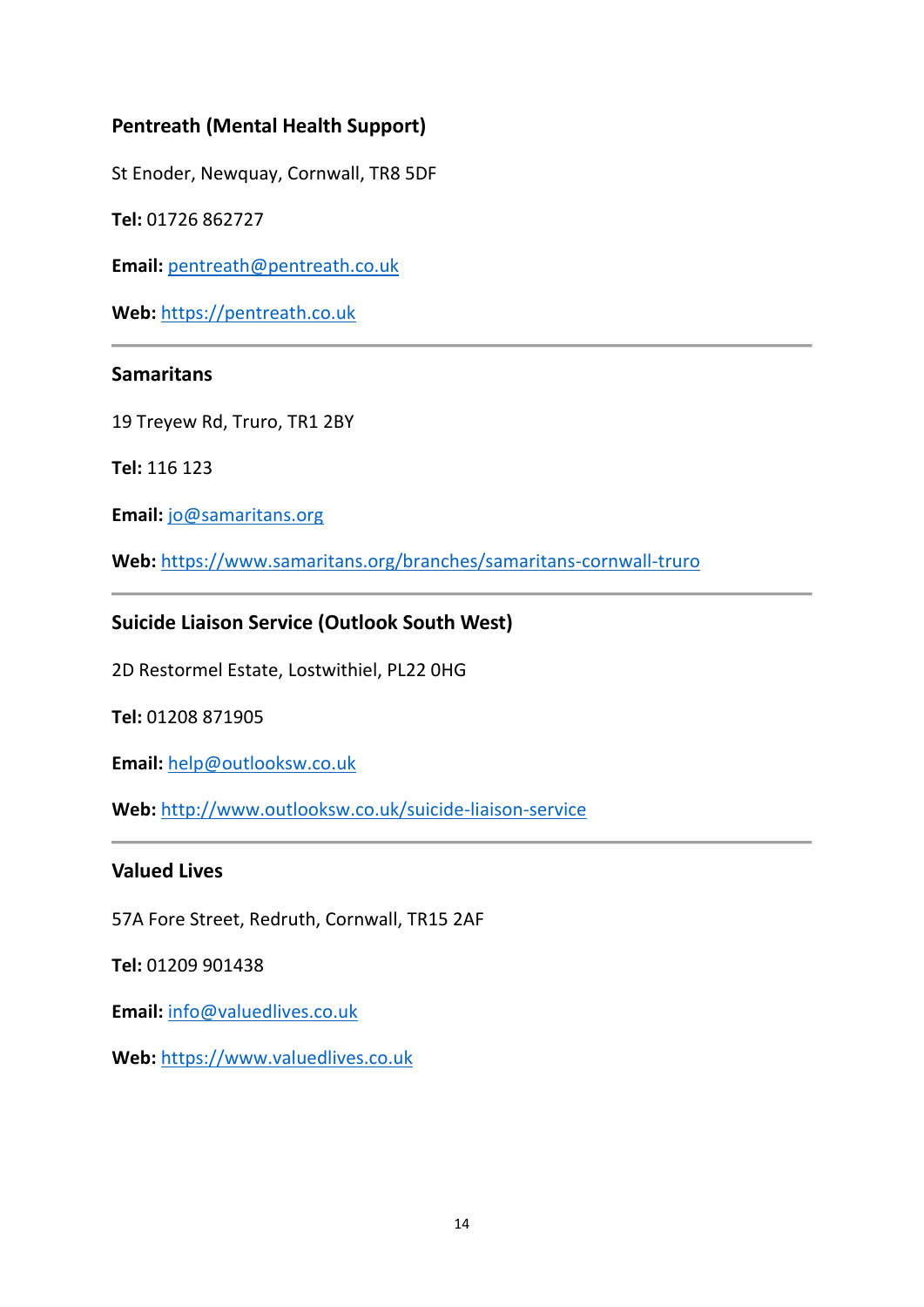# **Pentreath (Mental Health Support)**

St Enoder, Newquay, Cornwall, TR8 5DF

**Tel:** 01726 862727

**Email:** [pentreath@pentreath.co.uk](mailto:pentreath@pentreath.co.uk)

**Web:** [https://pentreath.co.uk](https://pentreath.co.uk/)

### **Samaritans**

19 Treyew Rd, Truro, TR1 2BY

**Tel:** 116 123

**Email:** [jo@samaritans.org](mailto:jo@samaritans.org)

**Web:** <https://www.samaritans.org/branches/samaritans-cornwall-truro>

### **Suicide Liaison Service (Outlook South West)**

2D Restormel Estate, Lostwithiel, PL22 0HG

**Tel:** 01208 871905

**Email:** [help@outlooksw.co.uk](mailto:help@outlooksw.co.uk)

**Web:** <http://www.outlooksw.co.uk/suicide-liaison-service>

#### **Valued Lives**

57A Fore Street, Redruth, Cornwall, TR15 2AF

**Tel:** 01209 901438

**Email:** [info@valuedlives.co.uk](mailto:info@valuedlives.co.uk)

**Web:** [https://www.valuedlives.co.uk](https://www.valuedlives.co.uk/)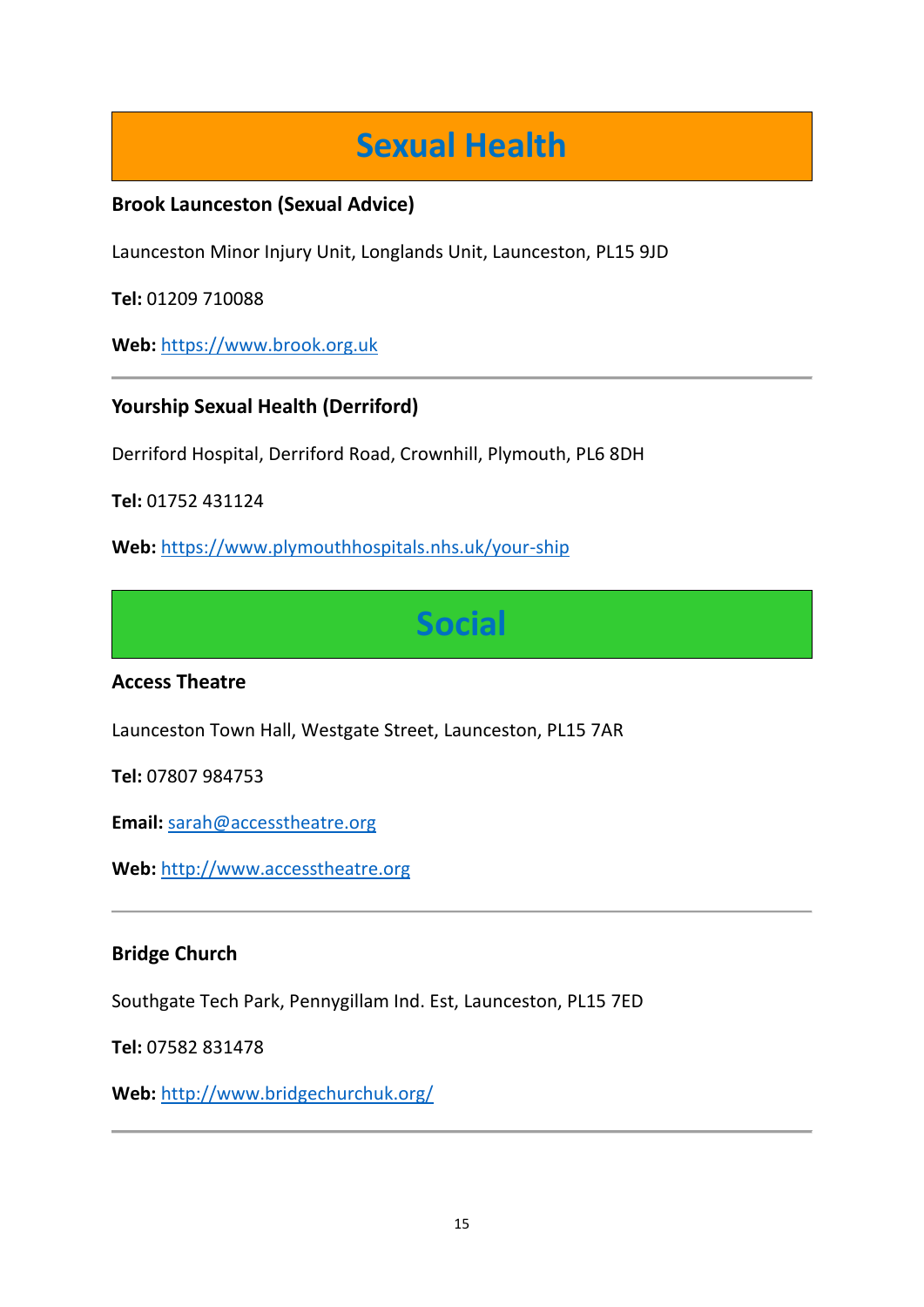# **Sexual Health**

# <span id="page-14-0"></span>**Brook Launceston (Sexual Advice)**

Launceston Minor Injury Unit, Longlands Unit, Launceston, PL15 9JD

**Tel:** 01209 710088

**Web:** [https://www.brook.org.uk](https://www.brook.org.uk/)

# **Yourship Sexual Health (Derriford)**

Derriford Hospital, Derriford Road, Crownhill, Plymouth, PL6 8DH

**Tel:** 01752 431124

<span id="page-14-1"></span>**Web:** <https://www.plymouthhospitals.nhs.uk/your-ship>

**Social**

### **Access Theatre**

Launceston Town Hall, Westgate Street, Launceston, PL15 7AR

**Tel:** 07807 984753

**Email:** [sarah@accesstheatre.org](mailto:sarah@accesstheatre.org)

**Web:** [http://www.accesstheatre.org](http://www.cornwallsands.weebly.com/)

### **Bridge Church**

Southgate Tech Park, Pennygillam Ind. Est, Launceston, PL15 7ED

**Tel:** 07582 831478

**Web:** <http://www.bridgechurchuk.org/>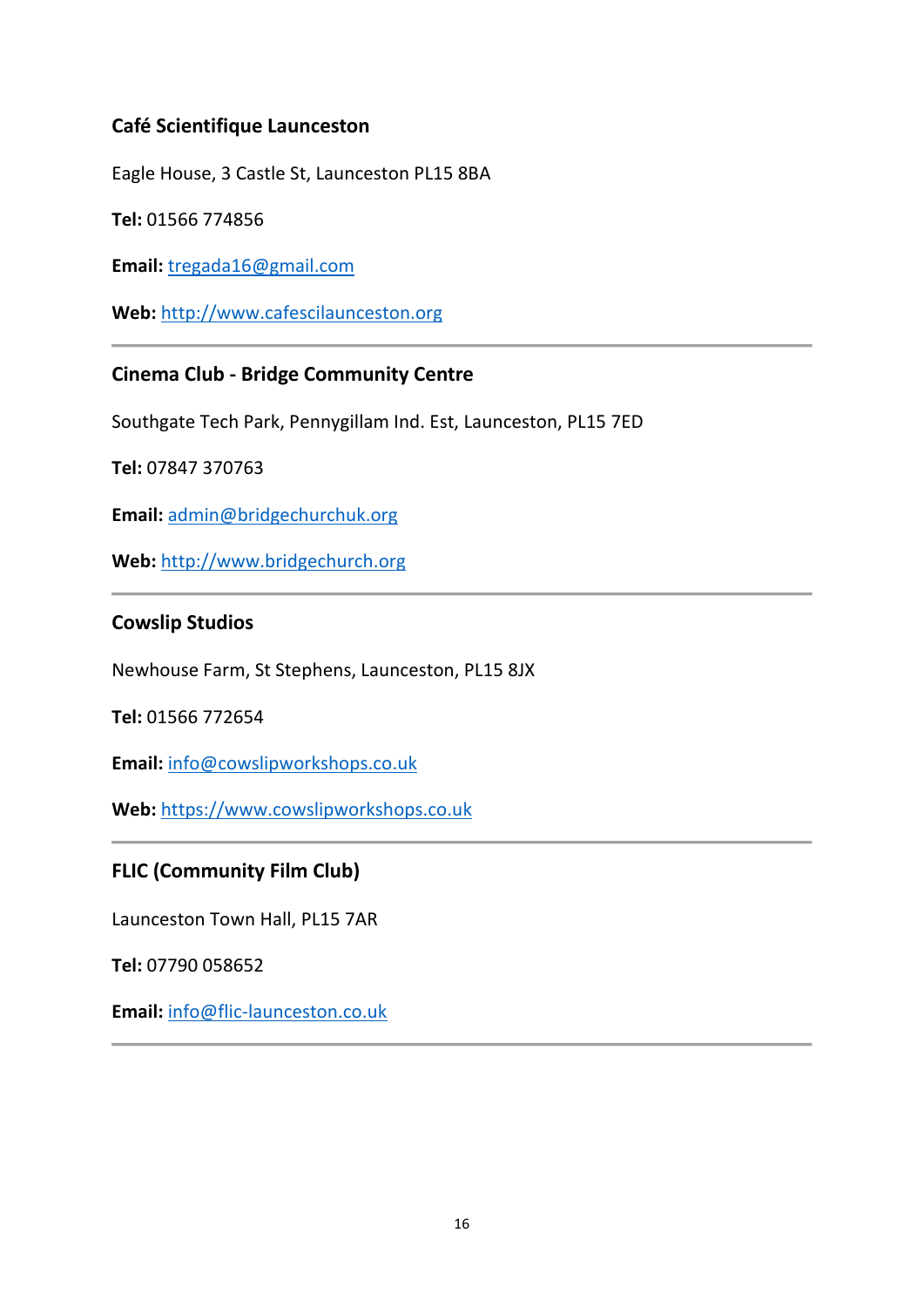# **Café Scientifique Launceston**

Eagle House, 3 Castle St, Launceston PL15 8BA

**Tel:** 01566 774856

**Email:** [tregada16@gmail.com](mailto:tregada16@gmail.com)

**Web:** [http://www.cafescilaunceston.org](http://www.cafescilaunceston.org/)

# **Cinema Club - Bridge Community Centre**

Southgate Tech Park, Pennygillam Ind. Est, Launceston, PL15 7ED

**Tel:** 07847 370763

**Email:** [admin@bridgechurchuk.org](mailto:admin@bridgechurchuk.org)

**Web:** [http://www.bridgechurch.org](http://www.bridgechurch.org/)

### **Cowslip Studios**

Newhouse Farm, St Stephens, Launceston, PL15 8JX

**Tel:** 01566 772654

**Email:** [info@cowslipworkshops.co.uk](mailto:info@cowslipworkshops.co.uk)

**Web:** [https://www.cowslipworkshops.co.uk](https://www.cowslipworkshops.co.uk/)

### **FLIC (Community Film Club)**

Launceston Town Hall, PL15 7AR

**Tel:** 07790 058652

**Email:** [info@flic-launceston.co.uk](mailto:info@flic-launceston.co.uk)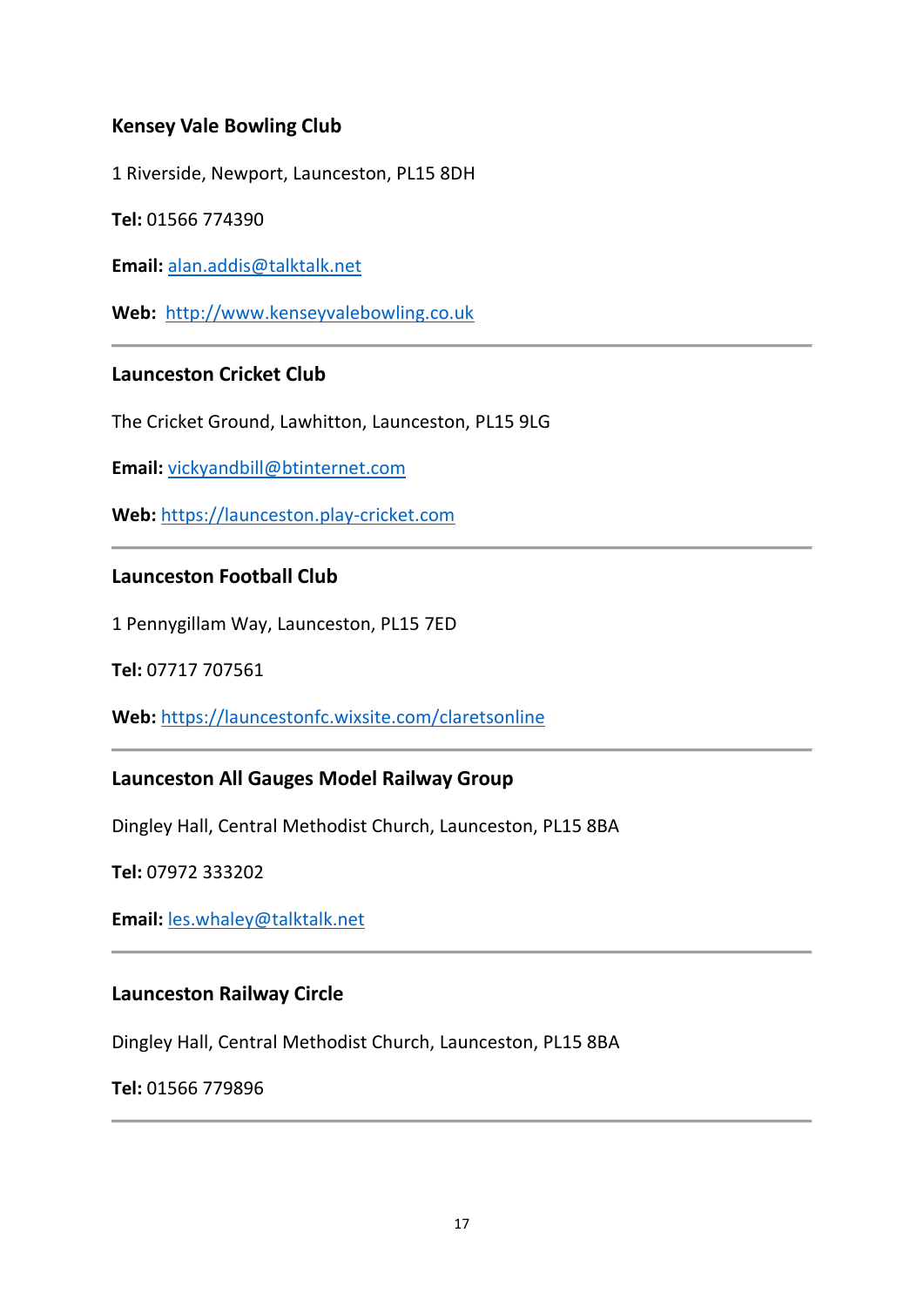# **Kensey Vale Bowling Club**

1 Riverside, Newport, Launceston, PL15 8DH

**Tel:** 01566 774390

**Email:** [alan.addis@talktalk.net](mailto:alan.addis@talktalk.net)

**Web:** [http://www.kenseyvalebowling.co.uk](http://www.kenseyvalebowling.co.uk/)

### **Launceston Cricket Club**

The Cricket Ground, Lawhitton, Launceston, PL15 9LG

**Email:** [vickyandbill@btinternet.com](mailto:vickyandbill@btinternet.com)

**Web:** [https://launceston.play-cricket.com](https://launceston.play-cricket.com/)

### **Launceston Football Club**

1 Pennygillam Way, Launceston, PL15 7ED

**Tel:** 07717 707561

**Web:** <https://launcestonfc.wixsite.com/claretsonline>

### **Launceston All Gauges Model Railway Group**

Dingley Hall, Central Methodist Church, Launceston, PL15 8BA

**Tel:** 07972 333202

**Email:** [les.whaley@talktalk.net](mailto:les.whaley@talktalk.net)

#### **Launceston Railway Circle**

Dingley Hall, Central Methodist Church, Launceston, PL15 8BA

#### **Tel:** 01566 779896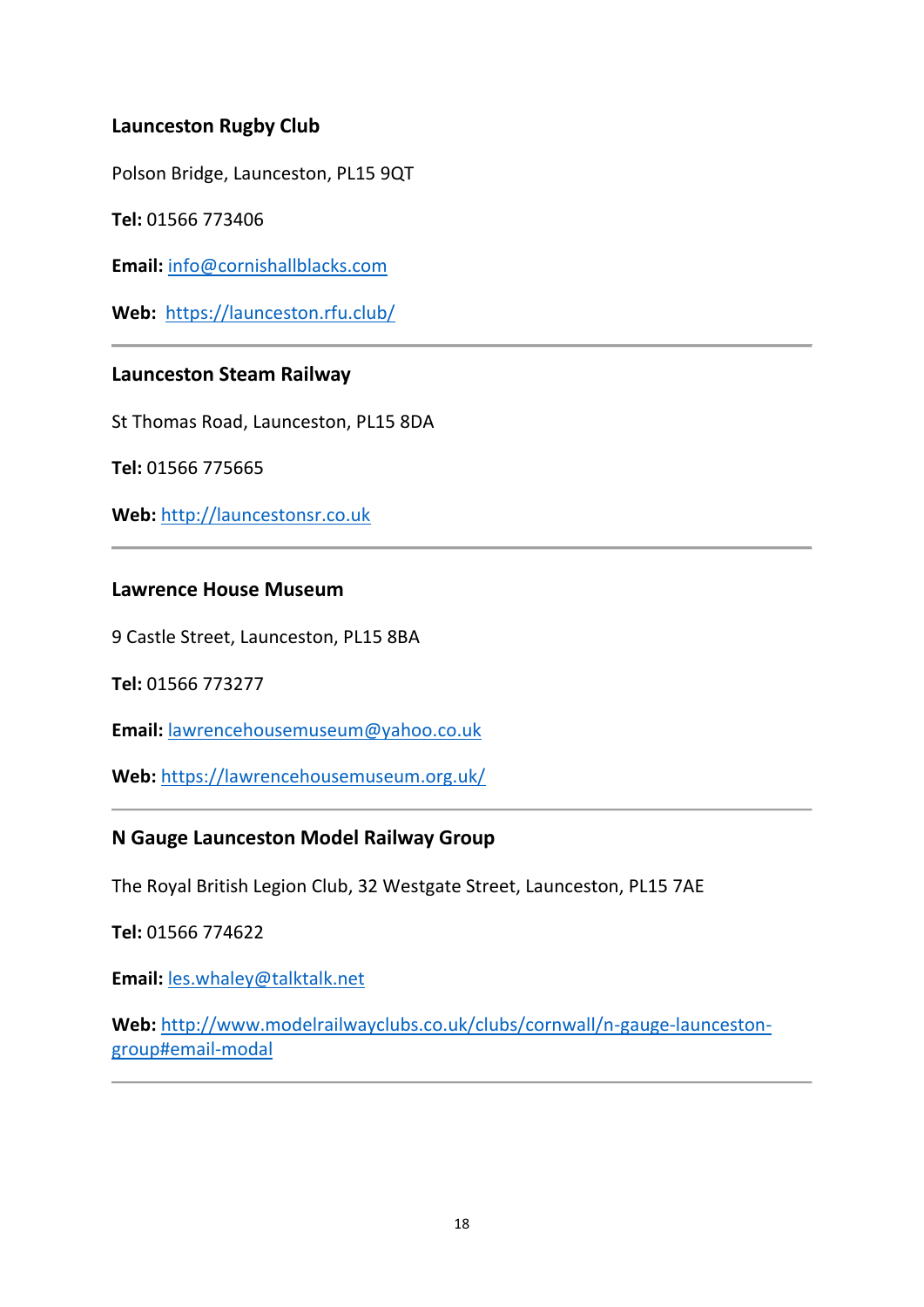# **Launceston Rugby Club**

Polson Bridge, Launceston, PL15 9QT

**Tel:** 01566 773406

**Email:** [info@cornishallblacks.com](mailto:info@cornishallblacks.com)

**Web:** <https://launceston.rfu.club/>

### **Launceston Steam Railway**

St Thomas Road, Launceston, PL15 8DA

**Tel:** 01566 775665

**Web:** [http://launcestonsr.co.uk](http://launcestonsr.co.uk/)

#### **Lawrence House Museum**

9 Castle Street, Launceston, PL15 8BA

**Tel:** 01566 773277

**Email:** [lawrencehousemuseum@yahoo.co.uk](mailto:lawrencehousemuseum@yahoo.co.uk)

**Web:** <https://lawrencehousemuseum.org.uk/>

### **N Gauge Launceston Model Railway Group**

The Royal British Legion Club, 32 Westgate Street, Launceston, PL15 7AE

**Tel:** 01566 774622

**Email:** [les.whaley@talktalk.net](mailto:les.whaley@talktalk.net)

**Web:** [http://www.modelrailwayclubs.co.uk/clubs/cornwall/n-gauge-launceston](http://www.modelrailwayclubs.co.uk/clubs/cornwall/n-gauge-launceston-group#email-modal)[group#email-modal](http://www.modelrailwayclubs.co.uk/clubs/cornwall/n-gauge-launceston-group#email-modal)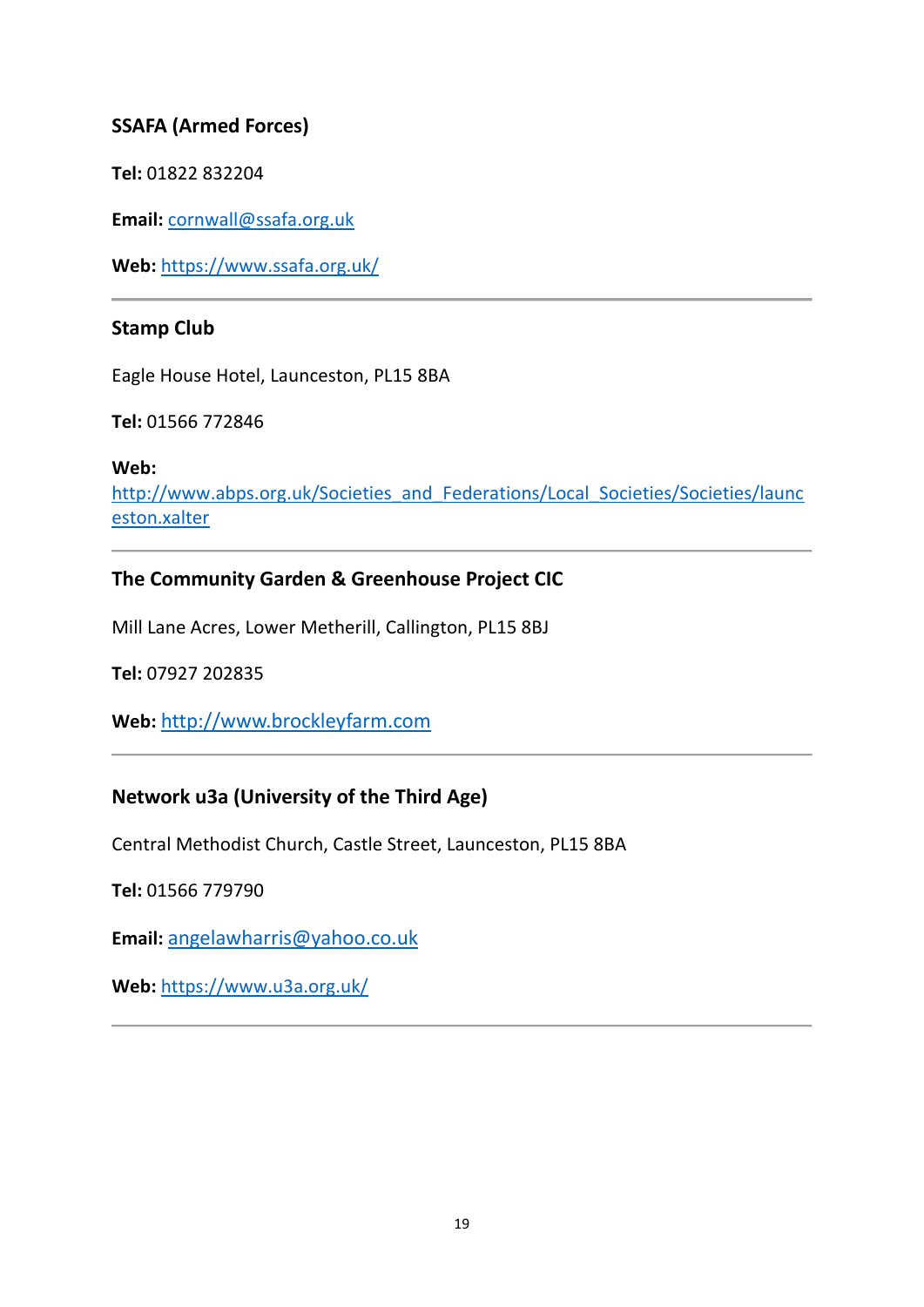# **SSAFA (Armed Forces)**

**Tel:** 01822 832204

**Email:** [cornwall@ssafa.org.uk](mailto:cornwall@ssafa.org.uk)

**Web:** <https://www.ssafa.org.uk/>

### **Stamp Club**

Eagle House Hotel, Launceston, PL15 8BA

**Tel:** 01566 772846

**Web:** 

[http://www.abps.org.uk/Societies\\_and\\_Federations/Local\\_Societies/Societies/launc](http://www.abps.org.uk/Societies_and_Federations/Local_Societies/Societies/launceston.xalter) [eston.xalter](http://www.abps.org.uk/Societies_and_Federations/Local_Societies/Societies/launceston.xalter)

# **The Community Garden & Greenhouse Project CIC**

Mill Lane Acres, Lower Metherill, Callington, PL15 8BJ

**Tel:** 07927 202835

**Web:** [http://www.brockleyfarm.com](http://www.brockleyfarm.com/)

# **Network u3a (University of the Third Age)**

Central Methodist Church, Castle Street, Launceston, PL15 8BA

**Tel:** 01566 779790

**Email:** [angelawharris@yahoo.co.uk](mailto:angelawharris@yahoo.co.uk)

**Web:** <https://www.u3a.org.uk/>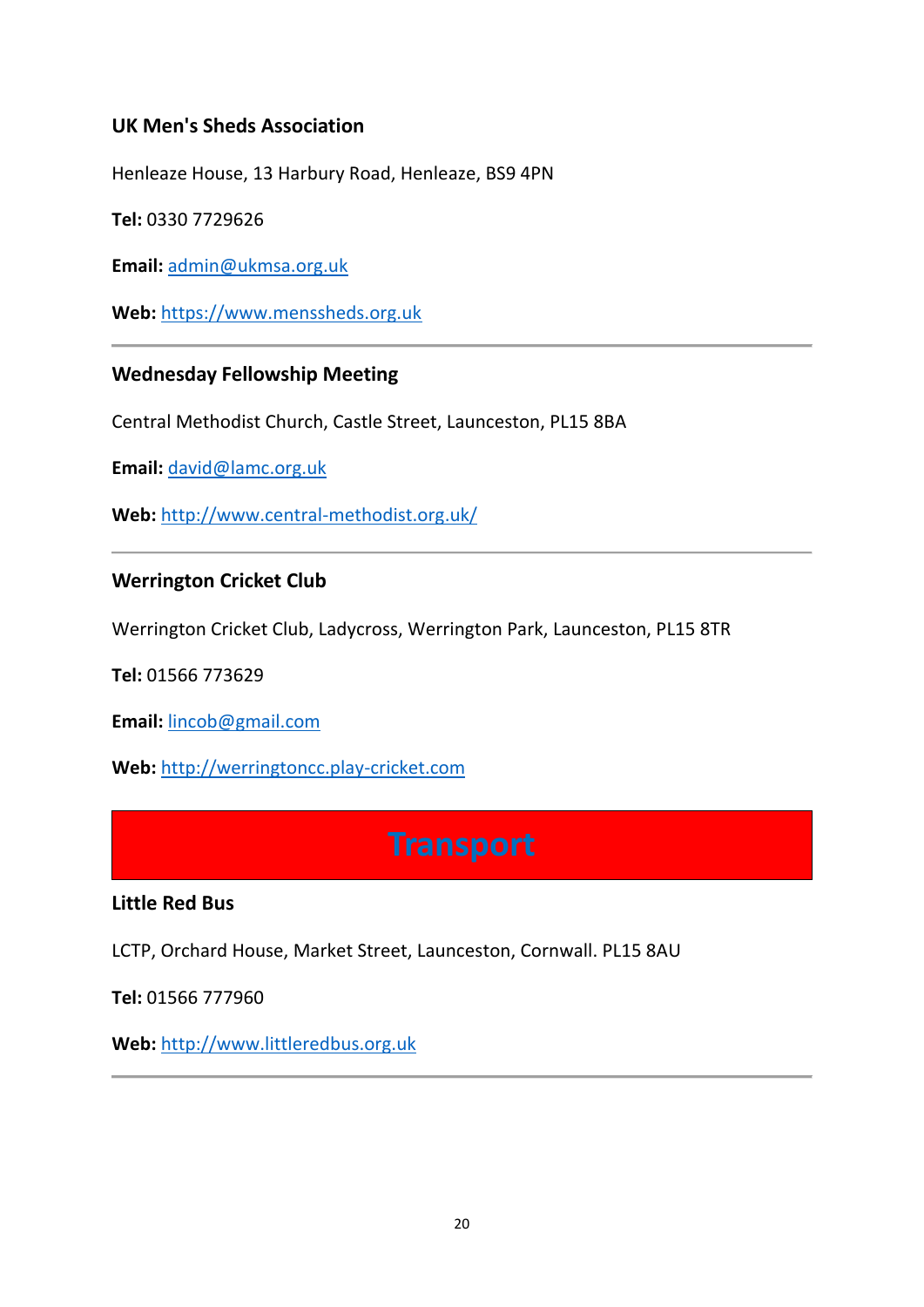# **UK Men's Sheds Association**

Henleaze House, 13 Harbury Road, Henleaze, BS9 4PN

**Tel:** 0330 7729626

**Email:** [admin@ukmsa.org.uk](mailto:admin@ukmsa.org.uk)

**Web:** [https://www.menssheds.org.uk](https://www.menssheds.org.uk/)

### **Wednesday Fellowship Meeting**

Central Methodist Church, Castle Street, Launceston, PL15 8BA

**Email:** [david@lamc.org.uk](mailto:david@lamc.org.uk)

**Web:** <http://www.central-methodist.org.uk/>

### **Werrington Cricket Club**

Werrington Cricket Club, Ladycross, Werrington Park, Launceston, PL15 8TR

**Tel:** 01566 773629

**Email:** [lincob@gmail.com](mailto:lincob@gmail.com)

<span id="page-19-0"></span>**Web:** [http://werringtoncc.play-cricket.com](http://werringtoncc.play-cricket.com/)

#### **Little Red Bus**

LCTP, Orchard House, Market Street, Launceston, Cornwall. PL15 8AU

**Tel:** 01566 777960

**Web:** [http://www.littleredbus.org.uk](http://www.littleredbus.org.uk/)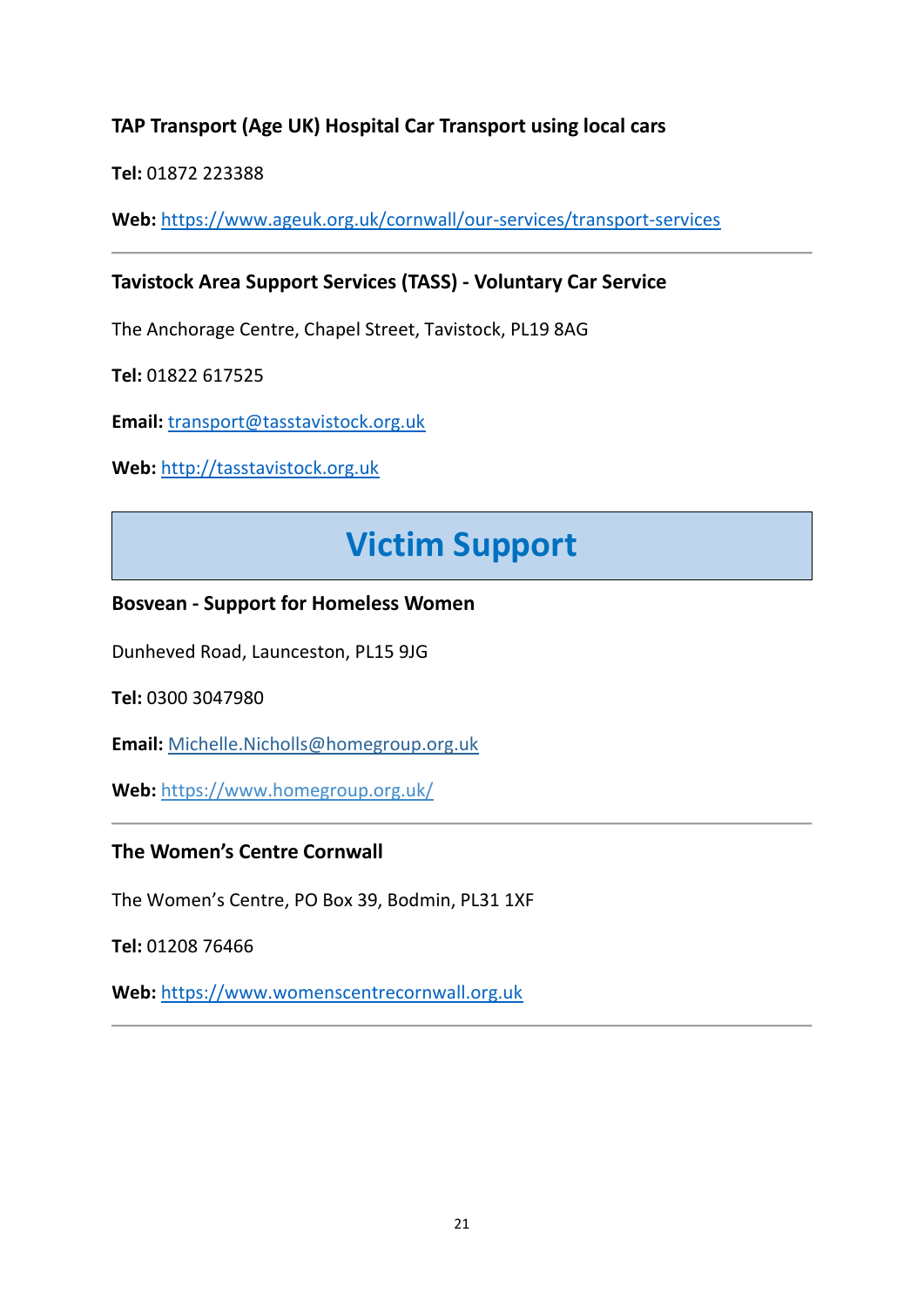# **TAP Transport (Age UK) Hospital Car Transport using local cars**

**Tel:** 01872 223388

**Web:** <https://www.ageuk.org.uk/cornwall/our-services/transport-services>

# **Tavistock Area Support Services (TASS) - Voluntary Car Service**

The Anchorage Centre, Chapel Street, Tavistock, PL19 8AG

**Tel:** 01822 617525

**Email:** [transport@tasstavistock.org.uk](mailto:transport@tasstavistock.org.uk)

<span id="page-20-0"></span>**Web:** [http://tasstavistock.org.uk](http://tasstavistock.org.uk/)

# **Victim Support**

### **Bosvean - Support for Homeless Women**

Dunheved Road, Launceston, PL15 9JG

**Tel:** 0300 3047980

**Email:** [Michelle.Nicholls@homegroup.org.uk](mailto:Michelle.Nicholls@homegroup.org.uk) 

**Web:** <https://www.homegroup.org.uk/>

### **The Women's Centre Cornwall**

The Women's Centre, PO Box 39, Bodmin, PL31 1XF

**Tel:** 01208 76466

**Web:** [https://www.womenscentrecornwall.org.uk](https://www.womenscentrecornwall.org.uk/)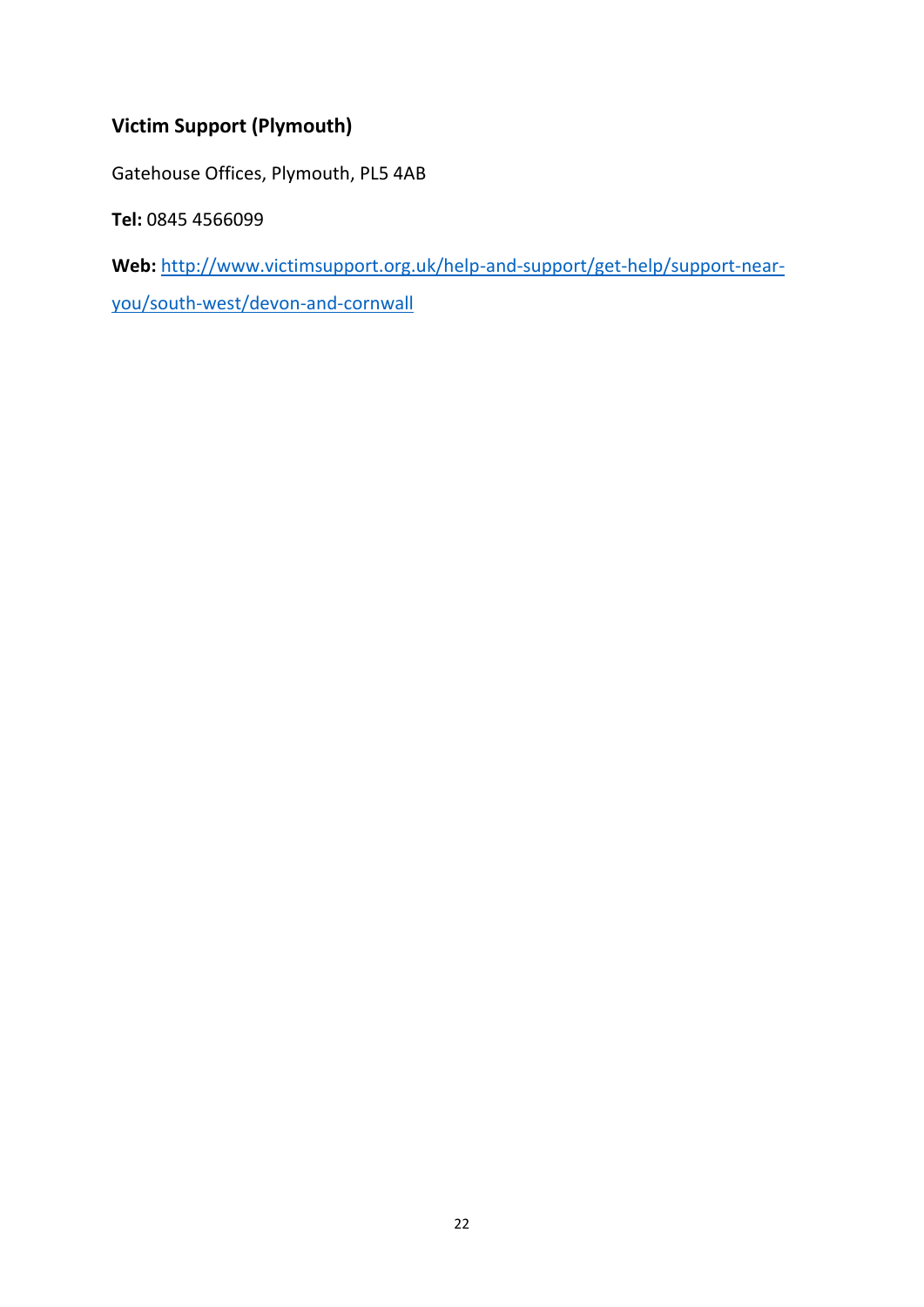# **Victim Support (Plymouth)**

Gatehouse Offices, Plymouth, PL5 4AB

**Tel:** 0845 4566099

**Web:** [http://www.victimsupport.org.uk/help-and-support/get-help/support-near-](http://www.victimsupport.org.uk/help-and-support/get-help/support-near-you/south-west/devon-and-cornwall)

[you/south-west/devon-and-cornwall](http://www.victimsupport.org.uk/help-and-support/get-help/support-near-you/south-west/devon-and-cornwall)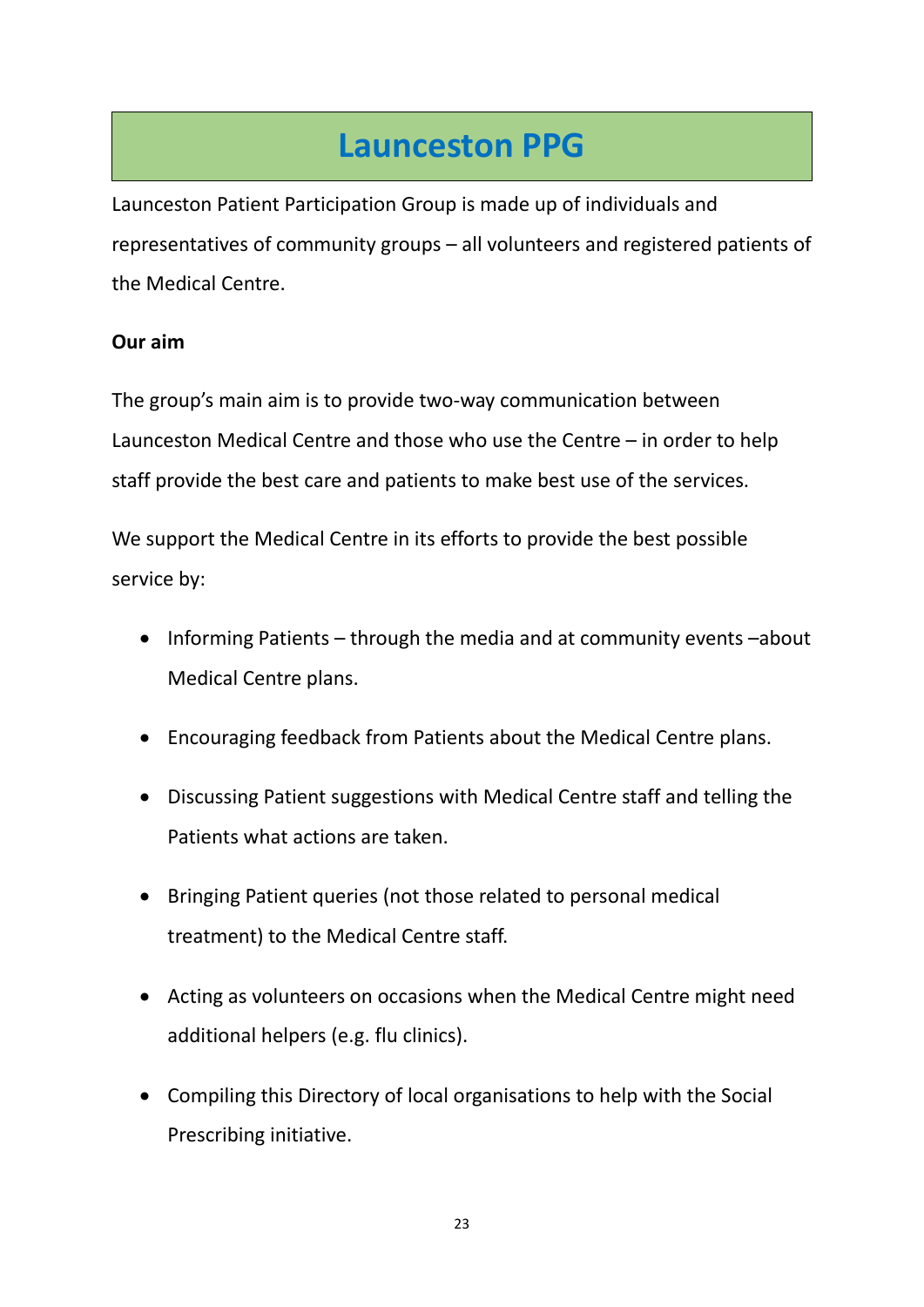# **Launceston PPG**

<span id="page-22-0"></span>Launceston Patient Participation Group is made up of individuals and representatives of community groups – all volunteers and registered patients of the Medical Centre.

# **Our aim**

The group's main aim is to provide two-way communication between Launceston Medical Centre and those who use the Centre – in order to help staff provide the best care and patients to make best use of the services.

We support the Medical Centre in its efforts to provide the best possible service by:

- Informing Patients through the media and at community events –about Medical Centre plans.
- Encouraging feedback from Patients about the Medical Centre plans.
- Discussing Patient suggestions with Medical Centre staff and telling the Patients what actions are taken.
- Bringing Patient queries (not those related to personal medical treatment) to the Medical Centre staff.
- Acting as volunteers on occasions when the Medical Centre might need additional helpers (e.g. flu clinics).
- Compiling this Directory of local organisations to help with the Social Prescribing initiative.